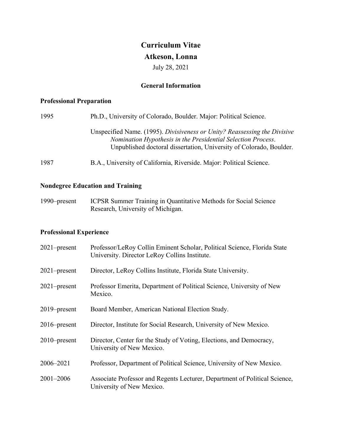# **Curriculum Vitae**

# **Atkeson, Lonna**

July 28, 2021

# **General Information**

# **Professional Preparation**

| 1995 | Ph.D., University of Colorado, Boulder. Major: Political Science.                                                                                                                                                |
|------|------------------------------------------------------------------------------------------------------------------------------------------------------------------------------------------------------------------|
|      | Unspecified Name. (1995). Divisiveness or Unity? Reassessing the Divisive<br>Nomination Hypothesis in the Presidential Selection Process.<br>Unpublished doctoral dissertation, University of Colorado, Boulder. |
| 1987 | B.A., University of California, Riverside. Major: Political Science.                                                                                                                                             |

# **Nondegree Education and Training**

1990–present ICPSR Summer Training in Quantitative Methods for Social Science Research, University of Michigan.

# **Professional Experience**

| $2021$ -present | Professor/LeRoy Collin Eminent Scholar, Political Science, Florida State<br>University. Director LeRoy Collins Institute. |
|-----------------|---------------------------------------------------------------------------------------------------------------------------|
| $2021$ -present | Director, LeRoy Collins Institute, Florida State University.                                                              |
| $2021$ -present | Professor Emerita, Department of Political Science, University of New<br>Mexico.                                          |
| $2019$ -present | Board Member, American National Election Study.                                                                           |
| $2016$ -present | Director, Institute for Social Research, University of New Mexico.                                                        |
| $2010$ -present | Director, Center for the Study of Voting, Elections, and Democracy,<br>University of New Mexico.                          |
| 2006-2021       | Professor, Department of Political Science, University of New Mexico.                                                     |
| $2001 - 2006$   | Associate Professor and Regents Lecturer, Department of Political Science,<br>University of New Mexico.                   |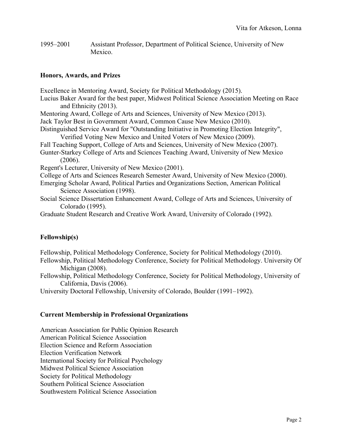1995–2001 Assistant Professor, Department of Political Science, University of New Mexico.

## **Honors, Awards, and Prizes**

Excellence in Mentoring Award, Society for Political Methodology (2015). Lucius Baker Award for the best paper, Midwest Political Science Association Meeting on Race and Ethnicity (2013). Mentoring Award, College of Arts and Sciences, University of New Mexico (2013). Jack Taylor Best in Government Award, Common Cause New Mexico (2010). Distinguished Service Award for "Outstanding Initiative in Promoting Election Integrity", Verified Voting New Mexico and United Voters of New Mexico (2009). Fall Teaching Support, College of Arts and Sciences, University of New Mexico (2007). Gunter-Starkey College of Arts and Sciences Teaching Award, University of New Mexico (2006). Regent's Lecturer, University of New Mexico (2001). College of Arts and Sciences Research Semester Award, University of New Mexico (2000). Emerging Scholar Award, Political Parties and Organizations Section, American Political Science Association (1998). Social Science Dissertation Enhancement Award, College of Arts and Sciences, University of Colorado (1995).

Graduate Student Research and Creative Work Award, University of Colorado (1992).

# **Fellowship(s)**

Fellowship, Political Methodology Conference, Society for Political Methodology (2010).

Fellowship, Political Methodology Conference, Society for Political Methodology. University Of Michigan (2008).

Fellowship, Political Methodology Conference, Society for Political Methodology, University of California, Davis (2006).

University Doctoral Fellowship, University of Colorado, Boulder (1991–1992).

## **Current Membership in Professional Organizations**

American Association for Public Opinion Research American Political Science Association Election Science and Reform Association Election Verification Network International Society for Political Psychology Midwest Political Science Association Society for Political Methodology Southern Political Science Association Southwestern Political Science Association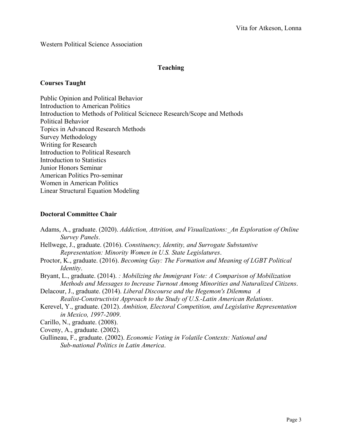Western Political Science Association

# **Teaching**

## **Courses Taught**

Public Opinion and Political Behavior Introduction to American Politics Introduction to Methods of Political Scicnece Research/Scope and Methods Political Behavior Topics in Advanced Research Methods Survey Methodology Writing for Research Introduction to Political Research Introduction to Statistics Junior Honors Seminar American Politics Pro-seminar Women in American Politics Linear Structural Equation Modeling

# **Doctoral Committee Chair**

| Adams, A., graduate. (2020). Addiction, Attrition, and Visualizations: An Exploration of Online<br>Survey Panels.                                                                  |
|------------------------------------------------------------------------------------------------------------------------------------------------------------------------------------|
| Hellwege, J., graduate. (2016). Constituency, Identity, and Surrogate Substantive<br>Representation: Minority Women in U.S. State Legislatures.                                    |
| Proctor, K., graduate. (2016). Becoming Gay: The Formation and Meaning of LGBT Political<br><i>Identity.</i>                                                                       |
| Bryant, L., graduate. (2014). : Mobilizing the Immigrant Vote: A Comparison of Mobilization<br>Methods and Messages to Increase Turnout Among Minorities and Naturalized Citizens. |
| Delacour, J., graduate. (2014). Liberal Discourse and the Hegemon's Dilemma A<br>Realist-Constructivist Approach to the Study of U.S.-Latin American Relations.                    |
| Kerevel, Y., graduate. (2012). Ambition, Electoral Competition, and Legislative Representation<br>in Mexico, 1997-2009.                                                            |
| Carillo, N., graduate. (2008).                                                                                                                                                     |
| Coveny, A., graduate. (2002).                                                                                                                                                      |
| Gullineau, F., graduate. (2002). <i>Economic Voting in Volatile Contexts: National and</i><br>Sub-national Politics in Latin America.                                              |
|                                                                                                                                                                                    |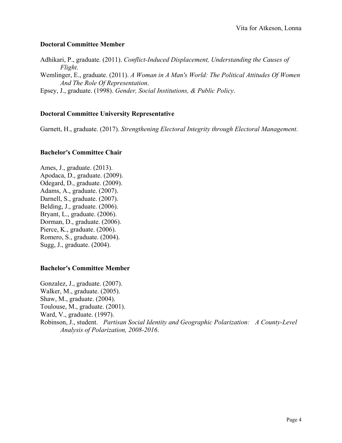## **Doctoral Committee Member**

Adhikari, P., graduate. (2011). *Conflict-Induced Displacement, Understanding the Causes of Flight*.

Wemlinger, E., graduate. (2011). *A Woman in A Man's World: The Political Attitudes Of Women And The Role Of Representation*.

Epsey, J., graduate. (1998). *Gender, Social Institutions, & Public Policy*.

## **Doctoral Committee University Representative**

Garnett, H., graduate. (2017). *Strengthening Electoral Integrity through Electoral Management*.

## **Bachelor's Committee Chair**

Ames, J., graduate. (2013). Apodaca, D., graduate. (2009). Odegard, D., graduate. (2009). Adams, A., graduate. (2007). Darnell, S., graduate. (2007). Belding, J., graduate. (2006). Bryant, L., graduate. (2006). Dorman, D., graduate. (2006). Pierce, K., graduate. (2006). Romero, S., graduate. (2004). Sugg, J., graduate. (2004).

## **Bachelor's Committee Member**

Gonzalez, J., graduate. (2007). Walker, M., graduate. (2005). Shaw, M., graduate. (2004). Toulouse, M., graduate. (2001). Ward, V., graduate. (1997). Robinson, J., student. *Partisan Social Identity and Geographic Polarization: A County-Level Analysis of Polarization, 2008-2016*.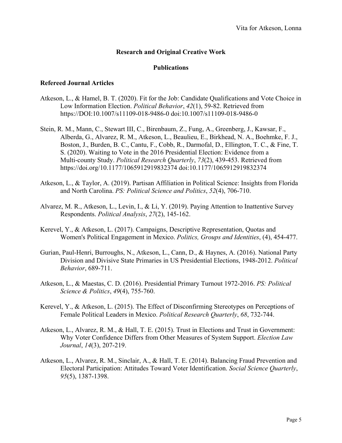## **Research and Original Creative Work**

## **Publications**

#### **Refereed Journal Articles**

- Atkeson, L., & Hamel, B. T. (2020). Fit for the Job: Candidate Qualifications and Vote Choice in Low Information Election. *Political Behavior*, *42*(1), 59-82. Retrieved from <https://DOI:10.1007/s11109-018-9486-0> doi[:10.1007/s11109-018-9486-0](http://dx.doi.org/10.1007/s11109-018-9486-0)
- Stein, R. M., Mann, C., Stewart III, C., Birenbaum, Z., Fung, A., Greenberg, J., Kawsar, F., Alberda, G., Alvarez, R. M., Atkeson, L., Beaulieu, E., Birkhead, N. A., Boehmke, F. J., Boston, J., Burden, B. C., Cantu, F., Cobb, R., Darmofal, D., Ellington, T. C., & Fine, T. S. (2020). Waiting to Vote in the 2016 Presidential Election: Evidence from a Multi-county Study. *Political Research Quarterly*, *73*(2), 439-453. Retrieved from <https://doi.org/10.1177/1065912919832374> doi[:10.1177/1065912919832374](http://dx.doi.org/10.1177/1065912919832374)
- Atkeson, L., & Taylor, A. (2019). Partisan Affiliation in Political Science: Insights from Florida and North Carolina. *PS: Political Science and Politics*, *52*(4), 706-710.
- Alvarez, M. R., Atkeson, L., Levin, I., & Li, Y. (2019). Paying Attention to Inattentive Survey Respondents. *Political Analysis*, *27*(2), 145-162.
- Kerevel, Y., & Atkeson, L. (2017). Campaigns, Descriptive Representation, Quotas and Women's Political Engagement in Mexico. *Politics, Groups and Identities*, (4), 454-477.
- Gurian, Paul-Henri, Burroughs, N., Atkeson, L., Cann, D., & Haynes, A. (2016). National Party Division and Divisive State Primaries in US Presidential Elections, 1948-2012. *Political Behavior*, 689-711.
- Atkeson, L., & Maestas, C. D. (2016). Presidential Primary Turnout 1972-2016. *PS: Political Science & Politics*, *49*(4), 755-760.
- Kerevel, Y., & Atkeson, L. (2015). The Effect of Disconfirming Stereotypes on Perceptions of Female Political Leaders in Mexico. *Political Research Quarterly*, *68*, 732-744.
- Atkeson, L., Alvarez, R. M., & Hall, T. E. (2015). Trust in Elections and Trust in Government: Why Voter Confidence Differs from Other Measures of System Support. *Election Law Journal*, *14*(3), 207-219.
- Atkeson, L., Alvarez, R. M., Sinclair, A., & Hall, T. E. (2014). Balancing Fraud Prevention and Electoral Participation: Attitudes Toward Voter Identification. *Social Science Quarterly*, *95*(5), 1387-1398.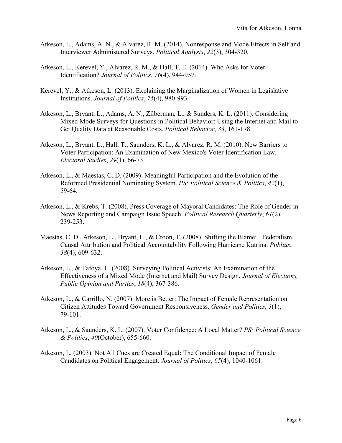- Atkeson, L., Adams, A. N., & Alvarez, R. M. (2014). Nonresponse and Mode Effects in Self and Interviewer Administered Surveys. *Political Analysis*, *22*(3), 304-320.
- Atkeson, L., Kerevel, Y., Alvarez, R. M., & Hall, T. E. (2014). Who Asks for Voter Identification? *Journal of Politics*, *76*(4), 944-957.
- Kerevel, Y., & Atkeson, L. (2013). Explaining the Marginalization of Women in Legislative Institutions. *Journal of Politics*, *75*(4), 980-993.
- Atkeson, L., Bryant, L., Adams, A. N., Zilberman, L., & Sunders, K. L. (2011). Considering Mixed Mode Surveys for Questions in Political Behavior: Using the Internet and Mail to Get Quality Data at Reasonable Costs. *Political Behavior*, *33*, 161-178.
- Atkeson, L., Bryant, L., Hall, T., Saunders, K. L., & Alvarez, R. M. (2010). New Barriers to Voter Participation: An Examination of New Mexico's Voter Identification Law. *Electoral Studies*, *29*(1), 66-73.
- Atkeson, L., & Maestas, C. D. (2009). Meaningful Participation and the Evolution of the Reformed Presidential Nominating System. *PS: Political Science & Politics*, *42*(1), 59-64.
- Atkeson, L., & Krebs, T. (2008). Press Coverage of Mayoral Candidates: The Role of Gender in News Reporting and Campaign Issue Speech. *Political Research Quarterly*, *61*(2), 239-253.
- Maestas, C. D., Atkeson, L., Bryant, L., & Croon, T. (2008). Shifting the Blame: Federalism, Causal Attribution and Political Accountability Following Hurricane Katrina. *Publius*, *38*(4), 609-632.
- Atkeson, L., & Tafoya, L. (2008). Surveying Political Activists: An Examination of the Effectiveness of a Mixed Mode (Internet and Mail) Survey Design. *Journal of Elections, Public Opinion and Parties*, *18*(4), 367-386.
- Atkeson, L., & Carrillo, N. (2007). More is Better: The Impact of Female Representation on Citizen Attitudes Toward Government Responsiveness. *Gender and Politics*, *3*(1), 79-101.
- Atkeson, L., & Saunders, K. L. (2007). Voter Confidence: A Local Matter? *PS: Political Science & Politics*, *40*(October), 655-660.
- Atkeson, L. (2003). Not All Cues are Created Equal: The Conditional Impact of Female Candidates on Political Engagement. *Journal of Politics*, *65*(4), 1040-1061.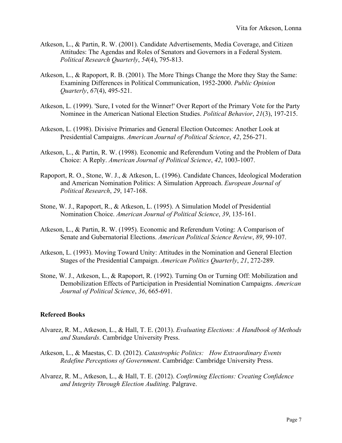- Atkeson, L., & Partin, R. W. (2001). Candidate Advertisements, Media Coverage, and Citizen Attitudes: The Agendas and Roles of Senators and Governors in a Federal System. *Political Research Quarterly*, *54*(4), 795-813.
- Atkeson, L., & Rapoport, R. B. (2001). The More Things Change the More they Stay the Same: Examining Differences in Political Communication, 1952-2000. *Public Opinion Quarterly*, *67*(4), 495-521.
- Atkeson, L. (1999). 'Sure, I voted for the Winner!' Over Report of the Primary Vote for the Party Nominee in the American National Election Studies. *Political Behavior*, *21*(3), 197-215.
- Atkeson, L. (1998). Divisive Primaries and General Election Outcomes: Another Look at Presidential Campaigns. *American Journal of Political Science*, *42*, 256-271.
- Atkeson, L., & Partin, R. W. (1998). Economic and Referendum Voting and the Problem of Data Choice: A Reply. *American Journal of Political Science*, *42*, 1003-1007.
- Rapoport, R. O., Stone, W. J., & Atkeson, L. (1996). Candidate Chances, Ideological Moderation and American Nomination Politics: A Simulation Approach. *European Journal of Political Research*, *29*, 147-168.
- Stone, W. J., Rapoport, R., & Atkeson, L. (1995). A Simulation Model of Presidential Nomination Choice. *American Journal of Political Science*, *39*, 135-161.
- Atkeson, L., & Partin, R. W. (1995). Economic and Referendum Voting: A Comparison of Senate and Gubernatorial Elections. *American Political Science Review*, *89*, 99-107.
- Atkeson, L. (1993). Moving Toward Unity: Attitudes in the Nomination and General Election Stages of the Presidential Campaign. *American Politics Quarterly*, *21*, 272-289.
- Stone, W. J., Atkeson, L., & Rapoport, R. (1992). Turning On or Turning Off: Mobilization and Demobilization Effects of Participation in Presidential Nomination Campaigns. *American Journal of Political Science*, *36*, 665-691.

## **Refereed Books**

- Alvarez, R. M., Atkeson, L., & Hall, T. E. (2013). *Evaluating Elections: A Handbook of Methods and Standards*. Cambridge University Press.
- Atkeson, L., & Maestas, C. D. (2012). *Catastrophic Politics: How Extraordinary Events Redefine Perceptions of Government*. Cambridge: Cambridge University Press.
- Alvarez, R. M., Atkeson, L., & Hall, T. E. (2012). *Confirming Elections: Creating Confidence and Integrity Through Election Auditing*. Palgrave.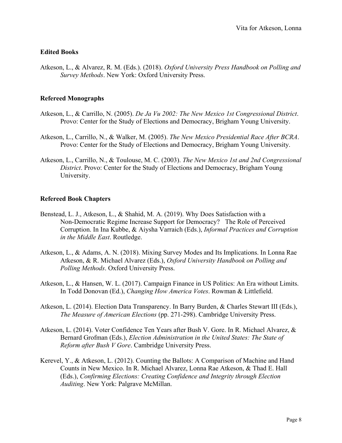# **Edited Books**

Atkeson, L., & Alvarez, R. M. (Eds.). (2018). *Oxford University Press Handbook on Polling and Survey Methods*. New York: Oxford University Press.

# **Refereed Monographs**

- Atkeson, L., & Carrillo, N. (2005). *De Ja Vu 2002: The New Mexico 1st Congressional District*. Provo: Center for the Study of Elections and Democracy, Brigham Young University.
- Atkeson, L., Carrillo, N., & Walker, M. (2005). *The New Mexico Presidential Race After BCRA*. Provo: Center for the Study of Elections and Democracy, Brigham Young University.
- Atkeson, L., Carrillo, N., & Toulouse, M. C. (2003). *The New Mexico 1st and 2nd Congressional District*. Provo: Center for the Study of Elections and Democracy, Brigham Young University.

# **Refereed Book Chapters**

- Benstead, L. J., Atkeson, L., & Shahid, M. A. (2019). Why Does Satisfaction with a Non-Democratic Regime Increase Support for Democracy? The Role of Perceived Corruption. In Ina Kubbe, & Aiysha Varraich (Eds.), *Informal Practices and Corruption in the Middle East*. Routledge.
- Atkeson, L., & Adams, A. N. (2018). Mixing Survey Modes and Its Implications. In Lonna Rae Atkeson, & R. Michael Alvarez (Eds.), *Oxford University Handbook on Polling and Polling Methods*. Oxford University Press.
- Atkeson, L., & Hansen, W. L. (2017). Campaign Finance in US Politics: An Era without Limits. In Todd Donovan (Ed.), *Changing How America Votes*. Rowman & Littlefield.
- Atkeson, L. (2014). Election Data Transparency. In Barry Burden, & Charles Stewart III (Eds.), *The Measure of American Elections* (pp. 271-298). Cambridge University Press.
- Atkeson, L. (2014). Voter Confidence Ten Years after Bush V. Gore. In R. Michael Alvarez, & Bernard Grofman (Eds.), *Election Administration in the United States: The State of Reform after Bush V Gore*. Cambridge University Press.
- Kerevel, Y., & Atkeson, L. (2012). Counting the Ballots: A Comparison of Machine and Hand Counts in New Mexico. In R. Michael Alvarez, Lonna Rae Atkeson, & Thad E. Hall (Eds.), *Confirming Elections: Creating Confidence and Integrity through Election Auditing*. New York: Palgrave McMillan.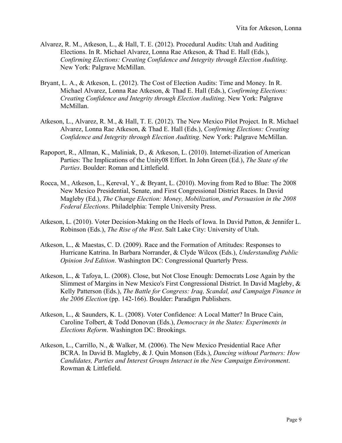- Alvarez, R. M., Atkeson, L., & Hall, T. E. (2012). Procedural Audits: Utah and Auditing Elections. In R. Michael Alvarez, Lonna Rae Atkeson, & Thad E. Hall (Eds.), *Confirming Elections: Creating Confidence and Integrity through Election Auditing*. New York: Palgrave McMillan.
- Bryant, L. A., & Atkeson, L. (2012). The Cost of Election Audits: Time and Money. In R. Michael Alvarez, Lonna Rae Atkeson, & Thad E. Hall (Eds.), *Confirming Elections: Creating Confidence and Integrity through Election Auditing*. New York: Palgrave McMillan.
- Atkeson, L., Alvarez, R. M., & Hall, T. E. (2012). The New Mexico Pilot Project. In R. Michael Alvarez, Lonna Rae Atkeson, & Thad E. Hall (Eds.), *Confirming Elections: Creating Confidence and Integrity through Election Auditing*. New York: Palgrave McMillan.
- Rapoport, R., Allman, K., Maliniak, D., & Atkeson, L. (2010). Internet-ilization of American Parties: The Implications of the Unity08 Effort. In John Green (Ed.), *The State of the Parties*. Boulder: Roman and Littlefield.
- Rocca, M., Atkeson, L., Kereval, Y., & Bryant, L. (2010). Moving from Red to Blue: The 2008 New Mexico Presidential, Senate, and First Congressional District Races. In David Magleby (Ed.), *The Change Election: Money, Mobilization, and Persuasion in the 2008 Federal Elections*. Philadelphia: Temple University Press.
- Atkeson, L. (2010). Voter Decision-Making on the Heels of Iowa. In David Patton, & Jennifer L. Robinson (Eds.), *The Rise of the West*. Salt Lake City: University of Utah.
- Atkeson, L., & Maestas, C. D. (2009). Race and the Formation of Attitudes: Responses to Hurricane Katrina. In Barbara Norrander, & Clyde Wilcox (Eds.), *Understanding Public Opinion 3rd Edition*. Washington DC: Congressional Quarterly Press.
- Atkeson, L., & Tafoya, L. (2008). Close, but Not Close Enough: Democrats Lose Again by the Slimmest of Margins in New Mexico's First Congressional District. In David Magleby, & Kelly Patterson (Eds.), *The Battle for Congress: Iraq, Scandal, and Campaign Finance in the 2006 Election* (pp. 142-166). Boulder: Paradigm Publishers.
- Atkeson, L., & Saunders, K. L. (2008). Voter Confidence: A Local Matter? In Bruce Cain, Caroline Tolbert, & Todd Donovan (Eds.), *Democracy in the States: Experiments in Elections Reform*. Washington DC: Brookings.
- Atkeson, L., Carrillo, N., & Walker, M. (2006). The New Mexico Presidential Race After BCRA. In David B. Magleby, & J. Quin Monson (Eds.), *Dancing without Partners: How Candidates, Parties and Interest Groups Interact in the New Campaign Environment*. Rowman & Littlefield.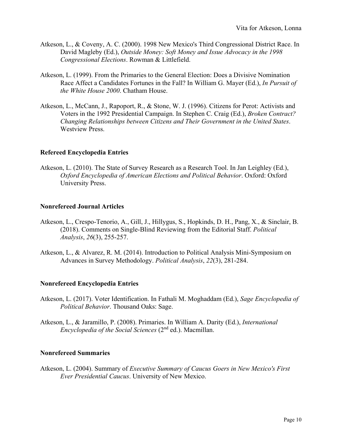- Atkeson, L., & Coveny, A. C. (2000). 1998 New Mexico's Third Congressional District Race. In David Magleby (Ed.), *Outside Money: Soft Money and Issue Advocacy in the 1998 Congressional Elections*. Rowman & Littlefield.
- Atkeson, L. (1999). From the Primaries to the General Election: Does a Divisive Nomination Race Affect a Candidates Fortunes in the Fall? In William G. Mayer (Ed.), *In Pursuit of the White House 2000*. Chatham House.
- Atkeson, L., McCann, J., Rapoport, R., & Stone, W. J. (1996). Citizens for Perot: Activists and Voters in the 1992 Presidential Campaign. In Stephen C. Craig (Ed.), *Broken Contract? Changing Relationships between Citizens and Their Government in the United States*. Westview Press.

## **Refereed Encyclopedia Entries**

Atkeson, L. (2010). The State of Survey Research as a Research Tool. In Jan Leighley (Ed.), *Oxford Encyclopedia of American Elections and Political Behavior*. Oxford: Oxford University Press.

## **Nonrefereed Journal Articles**

- Atkeson, L., Crespo-Tenorio, A., Gill, J., Hillygus, S., Hopkinds, D. H., Pang, X., & Sinclair, B. (2018). Comments on Single-Blind Reviewing from the Editorial Staff. *Political Analysis*, *26*(3), 255-257.
- Atkeson, L., & Alvarez, R. M. (2014). Introduction to Political Analysis Mini-Symposium on Advances in Survey Methodology. *Political Analysis*, *22*(3), 281-284.

## **Nonrefereed Encyclopedia Entries**

- Atkeson, L. (2017). Voter Identification. In Fathali M. Moghaddam (Ed.), *Sage Encyclopedia of Political Behavior*. Thousand Oaks: Sage.
- Atkeson, L., & Jaramillo, P. (2008). Primaries. In William A. Darity (Ed.), *International Encyclopedia of the Social Sciences* (2<sup>nd</sup> ed.). Macmillan.

## **Nonrefereed Summaries**

Atkeson, L. (2004). Summary of *Executive Summary of Caucus Goers in New Mexico's First Ever Presidential Caucus*. University of New Mexico.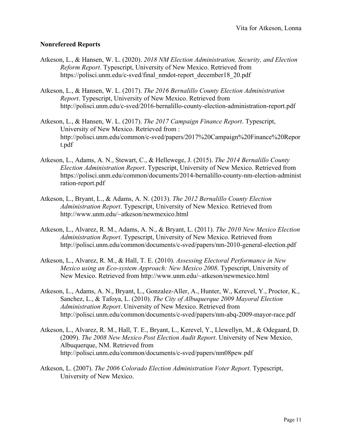## **Nonrefereed Reports**

- Atkeson, L., & Hansen, W. L. (2020). *2018 NM Election Administration, Security, and Election Reform Report*. Typescript, University of New Mexico. Retrieved from [https://polisci.unm.edu/c-sved/final\\_nmdot-report\\_december18\\_20.pdf](https://polisci.unm.edu/c-sved/final_nmdot-report_december18_20.pdf)
- Atkeson, L., & Hansen, W. L. (2017). *The 2016 Bernalillo County Election Administration Report*. Typescript, University of New Mexico. Retrieved from <http://polisci.unm.edu/c-sved/2016-bernalillo-county-election-administration-report.pdf>
- Atkeson, L., & Hansen, W. L. (2017). *The 2017 Campaign Finance Report*. Typescript, University of New Mexico. Retrieved from : http://polisci.unm.edu/common/c-sved/papers/2017%20Campaign%20Finance%20Repor t.pdf
- Atkeson, L., Adams, A. N., Stewart, C., & Hellewege, J. (2015). *The 2014 Bernalillo County Election Administration Report*. Typescript, University of New Mexico. Retrieved from [https://polisci.unm.edu/common/documents/2014-bernalillo-county-nm-election-administ](https://polisci.unm.edu/common/documents/2014-bernalillo-county-nm-election-administration-report.pdf) [ration-report.pdf](https://polisci.unm.edu/common/documents/2014-bernalillo-county-nm-election-administration-report.pdf)
- Atkeson, L., Bryant, L., & Adams, A. N. (2013). *The 2012 Bernalillo County Election Administration Report*. Typescript, University of New Mexico. Retrieved from [http://www.unm.edu/~atkeson/newmexico.html](http://www.unm.edu/%7Eatkeson/newmexico.html)
- Atkeson, L., Alvarez, R. M., Adams, A. N., & Bryant, L. (2011). *The 2010 New Mexico Election Administration Report*. Typescript, University of New Mexico. Retrieved from <http://polisci.unm.edu/common/documents/c-sved/papers/nm-2010-general-election.pdf>
- Atkeson, L., Alvarez, R. M., & Hall, T. E. (2010). *Assessing Electoral Performance in New Mexico using an Eco-system Approach: New Mexico 2008*. Typescript, University of New Mexico. Retrieved from [http://www.unm.edu/~atkeson/newmexico.html](http://www.unm.edu/%7Eatkeson/newmexico.html)
- Atkeson, L., Adams, A. N., Bryant, L., Gonzalez-Aller, A., Hunter, W., Kerevel, Y., Proctor, K., Sanchez, L., & Tafoya, L. (2010). *The City of Albuquerque 2009 Mayoral Election Administration Report*. University of New Mexico. Retrieved from <http://polisci.unm.edu/common/documents/c-sved/papers/nm-abq-2009-mayor-race.pdf>
- Atkeson, L., Alvarez, R. M., Hall, T. E., Bryant, L., Kerevel, Y., Llewellyn, M., & Odegaard, D. (2009). *The 2008 New Mexico Post Election Audit Report*. University of New Mexico, Albuquerque, NM. Retrieved from <http://polisci.unm.edu/common/documents/c-sved/papers/nm08pew.pdf>
- Atkeson, L. (2007). *The 2006 Colorado Election Administration Voter Report*. Typescript, University of New Mexico.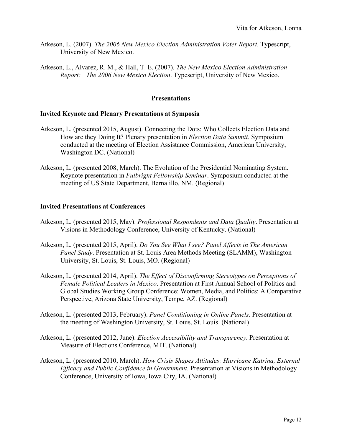- Atkeson, L. (2007). *The 2006 New Mexico Election Administration Voter Report*. Typescript, University of New Mexico.
- Atkeson, L., Alvarez, R. M., & Hall, T. E. (2007). *The New Mexico Election Administration Report: The 2006 New Mexico Election*. Typescript, University of New Mexico.

## **Presentations**

## **Invited Keynote and Plenary Presentations at Symposia**

- Atkeson, L. (presented 2015, August). Connecting the Dots: Who Collects Election Data and How are they Doing It? Plenary presentation in *Election Data Summit*. Symposium conducted at the meeting of Election Assistance Commission, American University, Washington DC. (National)
- Atkeson, L. (presented 2008, March). The Evolution of the Presidential Nominating System. Keynote presentation in *Fulbright Fellowship Seminar*. Symposium conducted at the meeting of US State Department, Bernalillo, NM. (Regional)

## **Invited Presentations at Conferences**

- Atkeson, L. (presented 2015, May). *Professional Respondents and Data Quality*. Presentation at Visions in Methodology Conference, University of Kentucky. (National)
- Atkeson, L. (presented 2015, April). *Do You See What I see? Panel Affects in The American Panel Study*. Presentation at St. Louis Area Methods Meeting (SLAMM), Washington University, St. Louis, St. Louis, MO. (Regional)
- Atkeson, L. (presented 2014, April). *The Effect of Disconfirming Stereotypes on Perceptions of Female Political Leaders in Mexico*. Presentation at First Annual School of Politics and Global Studies Working Group Conference: Women, Media, and Politics: A Comparative Perspective, Arizona State University, Tempe, AZ. (Regional)
- Atkeson, L. (presented 2013, February). *Panel Conditioning in Online Panels*. Presentation at the meeting of Washington University, St. Louis, St. Louis. (National)
- Atkeson, L. (presented 2012, June). *Election Accessibility and Transparency*. Presentation at Measure of Elections Conference, MIT. (National)
- Atkeson, L. (presented 2010, March). *How Crisis Shapes Attitudes: Hurricane Katrina, External Efficacy and Public Confidence in Government*. Presentation at Visions in Methodology Conference, University of Iowa, Iowa City, IA. (National)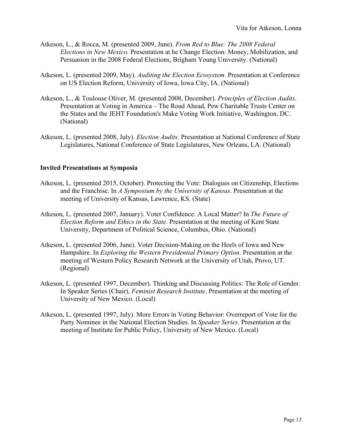- Atkeson, L., & Rocca, M. (presented 2009, June). *From Red to Blue: The 2008 Federal Elections in New Mexico*. Presentation at he Change Election: Money, Mobilization, and Persuasion in the 2008 Federal Elections, Brigham Young University. (National)
- Atkeson, L. (presented 2009, May). *Auditing the Election Ecosystem*. Presentation at Conference on US Election Reform, University of Iowa, Iowa City, IA. (National)
- Atkeson, L., & Toulouse Oliver, M. (presented 2008, December). *Principles of Election Audits*. Presentation at Voting in America – The Road Ahead, Pew Charitable Trusts Center on the States and the JEHT Foundation's Make Voting Work Initiative, Washington, DC. (National)
- Atkeson, L. (presented 2008, July). *Election Audits*. Presentation at National Conference of State Legislatures, National Conference of State Legislatures, New Orleans, LA. (National)

## **Invited Presentations at Symposia**

- Atkeson, L. (presented 2015, October). Protecting the Vote: Dialogues on Citizenship, Elections and the Franchise. In *A Symposium by the University of Kansas*. Presentation at the meeting of University of Kansas, Lawrence, KS. (State)
- Atkeson, L. (presented 2007, January). Voter Confidence: A Local Matter? In *The Future of Election Reform and Ethics in the State*. Presentation at the meeting of Kent State University, Department of Political Science, Columbus, Ohio. (National)
- Atkeson, L. (presented 2006, June). Voter Decision-Making on the Heels of Iowa and New Hampshire. In *Exploring the Western Presidential Primary Option*. Presentation at the meeting of Western Policy Research Network at the University of Utah, Provo, UT. (Regional)
- Atkeson, L. (presented 1997, December). Thinking and Discussing Politics: The Role of Gender. In Speaker Series (Chair), *Feminist Research Institute*. Presentation at the meeting of University of New Mexico. (Local)
- Atkeson, L. (presented 1997, July). More Errors in Voting Behavior: Overreport of Vote for the Party Nominee in the National Election Studies. In *Speaker Series*. Presentation at the meeting of Institute for Public Policy, University of New Mexico. (Local)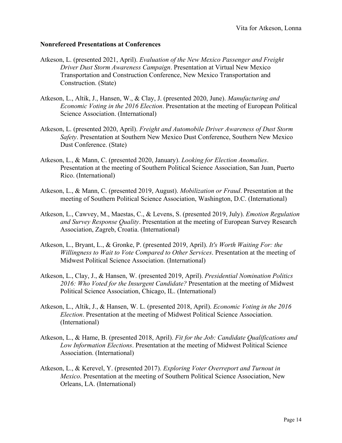## **Nonrefereed Presentations at Conferences**

- Atkeson, L. (presented 2021, April). *Evaluation of the New Mexico Passenger and Freight Driver Dust Storm Awareness Campaign*. Presentation at Virtual New Mexico Transportation and Construction Conference, New Mexico Transportation and Construction. (State)
- Atkeson, L., Altik, J., Hansen, W., & Clay, J. (presented 2020, June). *Manufacturing and Economic Voting in the 2016 Election*. Presentation at the meeting of European Political Science Association. (International)
- Atkeson, L. (presented 2020, April). *Freight and Automobile Driver Awareness of Dust Storm Safety*. Presentation at Southern New Mexico Dust Conference, Southern New Mexico Dust Conference. (State)
- Atkeson, L., & Mann, C. (presented 2020, January). *Looking for Election Anomalies*. Presentation at the meeting of Southern Political Science Association, San Juan, Puerto Rico. (International)
- Atkeson, L., & Mann, C. (presented 2019, August). *Mobilization or Fraud*. Presentation at the meeting of Southern Political Science Association, Washington, D.C. (International)
- Atkeson, L., Cawvey, M., Maestas, C., & Levens, S. (presented 2019, July). *Emotion Regulation and Survey Response Quality*. Presentation at the meeting of European Survey Research Association, Zagreb, Croatia. (International)
- Atkeson, L., Bryant, L., & Gronke, P. (presented 2019, April). *It's Worth Waiting For: the Willingness to Wait to Vote Compared to Other Services*. Presentation at the meeting of Midwest Political Science Association. (International)
- Atkeson, L., Clay, J., & Hansen, W. (presented 2019, April). *Presidential Nomination Politics 2016: Who Voted for the Insurgent Candidate?* Presentation at the meeting of Midwest Political Science Association, Chicago, IL. (International)
- Atkeson, L., Altik, J., & Hansen, W. L. (presented 2018, April). *Economic Voting in the 2016 Election*. Presentation at the meeting of Midwest Political Science Association. (International)
- Atkeson, L., & Hame, B. (presented 2018, April). *Fit for the Job: Candidate Qualifications and Low Information Elections*. Presentation at the meeting of Midwest Political Science Association. (International)
- Atkeson, L., & Kerevel, Y. (presented 2017). *Exploring Voter Overreport and Turnout in Mexico*. Presentation at the meeting of Southern Political Science Association, New Orleans, LA. (International)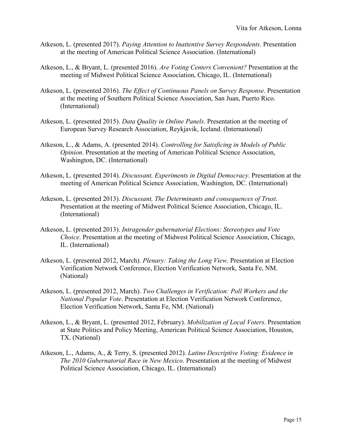- Atkeson, L. (presented 2017). *Paying Attention to Inattentive Survey Respondents*. Presentation at the meeting of American Political Science Association. (International)
- Atkeson, L., & Bryant, L. (presented 2016). *Are Voting Centers Convenient?* Presentation at the meeting of Midwest Political Science Association, Chicago, IL. (International)
- Atkeson, L. (presented 2016). *The Effect of Continuous Panels on Survey Response*. Presentation at the meeting of Southern Political Science Association, San Juan, Puerto Rico. (International)
- Atkeson, L. (presented 2015). *Data Quality in Online Panels*. Presentation at the meeting of European Survey Research Association, Reykjavik, Iceland. (International)
- Atkeson, L., & Adams, A. (presented 2014). *Controlling for Satisficing in Models of Public Opinion*. Presentation at the meeting of American Political Science Association, Washington, DC. (International)
- Atkeson, L. (presented 2014). *Discussant, Experiments in Digital Democracy*. Presentation at the meeting of American Political Science Association, Washington, DC. (International)
- Atkeson, L. (presented 2013). *Discussant, The Determinants and consequences of Trust*. Presentation at the meeting of Midwest Political Science Association, Chicago, IL. (International)
- Atkeson, L. (presented 2013). *Intragender gubernatorial Elections: Stereotypes and Vote Choice*. Presentation at the meeting of Midwest Political Science Association, Chicago, IL. (International)
- Atkeson, L. (presented 2012, March). *Plenary: Taking the Long View*. Presentation at Election Verification Network Conference, Election Verification Network, Santa Fe, NM. (National)
- Atkeson, L. (presented 2012, March). *Two Challenges in Verification: Poll Workers and the National Popular Vote*. Presentation at Election Verification Network Conference, Election Verification Network, Santa Fe, NM. (National)
- Atkeson, L., & Bryant, L. (presented 2012, February). *Mobilization of Local Voters*. Presentation at State Politics and Policy Meeting, American Political Science Association, Houston, TX. (National)
- Atkeson, L., Adams, A., & Terry, S. (presented 2012). *Latino Descriptive Voting: Evidence in The 2010 Gubernatorial Race in New Mexico*. Presentation at the meeting of Midwest Political Science Association, Chicago, IL. (International)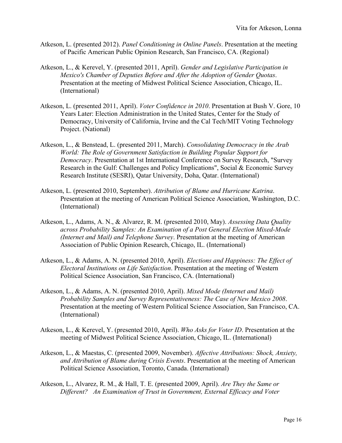- Atkeson, L. (presented 2012). *Panel Conditioning in Online Panels*. Presentation at the meeting of Pacific American Public Opinion Research, San Francisco, CA. (Regional)
- Atkeson, L., & Kerevel, Y. (presented 2011, April). *Gender and Legislative Participation in Mexico's Chamber of Deputies Before and After the Adoption of Gender Quotas*. Presentation at the meeting of Midwest Political Science Association, Chicago, IL. (International)
- Atkeson, L. (presented 2011, April). *Voter Confidence in 2010*. Presentation at Bush V. Gore, 10 Years Later: Election Administration in the United States, Center for the Study of Democracy, University of California, Irvine and the Cal Tech/MIT Voting Technology Project. (National)
- Atkeson, L., & Benstead, L. (presented 2011, March). *Consolidating Democracy in the Arab World: The Role of Government Satisfaction in Building Popular Support for Democracy*. Presentation at 1st International Conference on Survey Research, "Survey Research in the Gulf: Challenges and Policy Implications", Social & Economic Survey Research Institute (SESRI), Qatar University, Doha, Qatar. (International)
- Atkeson, L. (presented 2010, September). *Attribution of Blame and Hurricane Katrina*. Presentation at the meeting of American Political Science Association, Washington, D.C. (International)
- Atkeson, L., Adams, A. N., & Alvarez, R. M. (presented 2010, May). *Assessing Data Quality across Probability Samples: An Examination of a Post General Election Mixed-Mode (Internet and Mail) and Telephone Survey*. Presentation at the meeting of American Association of Public Opinion Research, Chicago, IL. (International)
- Atkeson, L., & Adams, A. N. (presented 2010, April). *Elections and Happiness: The Effect of Electoral Institutions on Life Satisfaction*. Presentation at the meeting of Western Political Science Association, San Francisco, CA. (International)
- Atkeson, L., & Adams, A. N. (presented 2010, April). *Mixed Mode (Internet and Mail) Probability Samples and Survey Representativeness: The Case of New Mexico 2008*. Presentation at the meeting of Western Political Science Association, San Francisco, CA. (International)
- Atkeson, L., & Kerevel, Y. (presented 2010, April). *Who Asks for Voter ID*. Presentation at the meeting of Midwest Political Science Association, Chicago, IL. (International)
- Atkeson, L., & Maestas, C. (presented 2009, November). *Affective Attributions: Shock, Anxiety, and Attribution of Blame during Crisis Events*. Presentation at the meeting of American Political Science Association, Toronto, Canada. (International)
- Atkeson, L., Alvarez, R. M., & Hall, T. E. (presented 2009, April). *Are They the Same or Different? An Examination of Trust in Government, External Efficacy and Voter*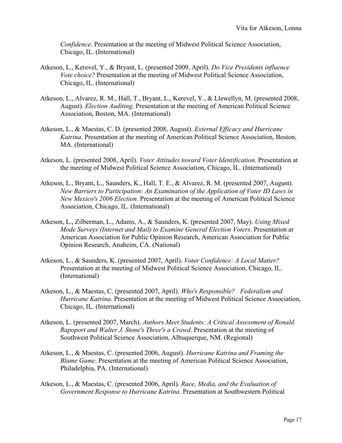*Confidence*. Presentation at the meeting of Midwest Political Science Association, Chicago, IL. (International)

- Atkeson, L., Kerevel, Y., & Bryant, L. (presented 2009, April). *Do Vice Presidents influence Vote choice?* Presentation at the meeting of Midwest Political Science Association, Chicago, IL. (International)
- Atkeson, L., Alvarez, R. M., Hall, T., Bryant, L., Kerevel, Y., & Llewellyn, M. (presented 2008, August). *Election Auditing*. Presentation at the meeting of American Political Science Association, Boston, MA. (International)
- Atkeson, L., & Maestas, C. D. (presented 2008, August). *External Efficacy and Hurricane Katrina*. Presentation at the meeting of American Political Science Association, Boston, MA. (International)
- Atkeson, L. (presented 2008, April). *Voter Attitudes toward Voter Identification*. Presentation at the meeting of Midwest Political Science Association, Chicago, IL. (International)
- Atkeson, L., Bryant, L., Saunders, K., Hall, T. E., & Alvarez, R. M. (presented 2007, August). *New Barriers to Participation: An Examination of the Application of Voter ID Laws in New Mexico's 2006 Election*. Presentation at the meeting of American Political Science Association, Chicago, IL. (International)
- Atkeson, L., Zilberman, L., Adams, A., & Saunders, K. (presented 2007, May). *Using Mixed Mode Surveys (Internet and Mail) to Examine General Election Voters*. Presentation at American Association for Public Opinion Research, American Association for Public Opinion Research, Anaheim, CA. (National)
- Atkeson, L., & Saunders, K. (presented 2007, April). *Voter Confidence: A Local Matter?* Presentation at the meeting of Midwest Political Science Association, Chicago, IL. (International)
- Atkeson, L., & Maestas, C. (presented 2007, April). *Who's Responsible? Federalism and Hurricane Katrina*. Presentation at the meeting of Midwest Political Science Association, Chicago, IL. (International)
- Atkeson, L. (presented 2007, March). *Authors Meet Students: A Critical Assessment of Ronald Rapoport and Walter J. Stone's Three's a Crowd*. Presentation at the meeting of Southwest Political Science Association, Albuquerque, NM. (Regional)
- Atkeson, L., & Maestas, C. (presented 2006, August). *Hurricane Katrina and Framing the Blame Game*. Presentation at the meeting of American Political Science Association, Philadelphia, PA. (International)
- Atkeson, L., & Maestas, C. (presented 2006, April). *Race, Media, and the Evaluation of Government Response to Hurricane Katrina*. Presentation at Southwestern Political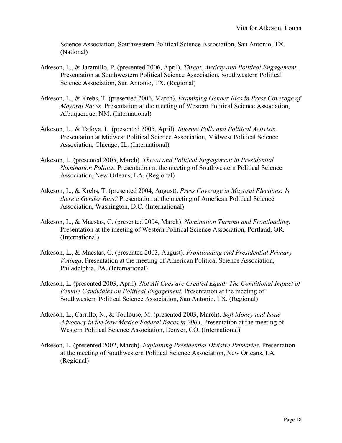Science Association, Southwestern Political Science Association, San Antonio, TX. (National)

- Atkeson, L., & Jaramillo, P. (presented 2006, April). *Threat, Anxiety and Political Engagement*. Presentation at Southwestern Political Science Association, Southwestern Political Science Association, San Antonio, TX. (Regional)
- Atkeson, L., & Krebs, T. (presented 2006, March). *Examining Gender Bias in Press Coverage of Mayoral Races*. Presentation at the meeting of Western Political Science Association, Albuquerque, NM. (International)
- Atkeson, L., & Tafoya, L. (presented 2005, April). *Internet Polls and Political Activists*. Presentation at Midwest Political Science Association, Midwest Political Science Association, Chicago, IL. (International)
- Atkeson, L. (presented 2005, March). *Threat and Political Engagement in Presidential Nomination Politics*. Presentation at the meeting of Southwestern Political Science Association, New Orleans, LA. (Regional)
- Atkeson, L., & Krebs, T. (presented 2004, August). *Press Coverage in Mayoral Elections: Is there a Gender Bias?* Presentation at the meeting of American Political Science Association, Washington, D.C. (International)
- Atkeson, L., & Maestas, C. (presented 2004, March). *Nomination Turnout and Frontloading*. Presentation at the meeting of Western Political Science Association, Portland, OR. (International)
- Atkeson, L., & Maestas, C. (presented 2003, August). *Frontloading and Presidential Primary Votinga*. Presentation at the meeting of American Political Science Association, Philadelphia, PA. (International)
- Atkeson, L. (presented 2003, April). *Not All Cues are Created Equal: The Conditional Impact of Female Candidates on Political Engagement*. Presentation at the meeting of Southwestern Political Science Association, San Antonio, TX. (Regional)
- Atkeson, L., Carrillo, N., & Toulouse, M. (presented 2003, March). *Soft Money and Issue Advocacy in the New Mexico Federal Races in 2003*. Presentation at the meeting of Western Political Science Association, Denver, CO. (International)
- Atkeson, L. (presented 2002, March). *Explaining Presidential Divisive Primaries*. Presentation at the meeting of Southwestern Political Science Association, New Orleans, LA. (Regional)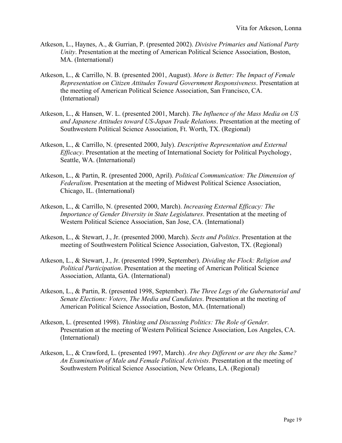- Atkeson, L., Haynes, A., & Gurrian, P. (presented 2002). *Divisive Primaries and National Party Unity*. Presentation at the meeting of American Political Science Association, Boston, MA. (International)
- Atkeson, L., & Carrillo, N. B. (presented 2001, August). *More is Better: The Impact of Female Representation on Citizen Attitudes Toward Government Responsiveness*. Presentation at the meeting of American Political Science Association, San Francisco, CA. (International)
- Atkeson, L., & Hansen, W. L. (presented 2001, March). *The Influence of the Mass Media on US and Japanese Attitudes toward US-Japan Trade Relations*. Presentation at the meeting of Southwestern Political Science Association, Ft. Worth, TX. (Regional)
- Atkeson, L., & Carrillo, N. (presented 2000, July). *Descriptive Representation and External Efficacy*. Presentation at the meeting of International Society for Political Psychology, Seattle, WA. (International)
- Atkeson, L., & Partin, R. (presented 2000, April). *Political Communication: The Dimension of Federalism*. Presentation at the meeting of Midwest Political Science Association, Chicago, IL. (International)
- Atkeson, L., & Carrillo, N. (presented 2000, March). *Increasing External Efficacy: The Importance of Gender Diversity in State Legislatures*. Presentation at the meeting of Western Political Science Association, San Jose, CA. (International)
- Atkeson, L., & Stewart, J., Jr. (presented 2000, March). *Sects and Politics*. Presentation at the meeting of Southwestern Political Science Association, Galveston, TX. (Regional)
- Atkeson, L., & Stewart, J., Jr. (presented 1999, September). *Dividing the Flock: Religion and Political Participation*. Presentation at the meeting of American Political Science Association, Atlanta, GA. (International)
- Atkeson, L., & Partin, R. (presented 1998, September). *The Three Legs of the Gubernatorial and Senate Elections: Voters, The Media and Candidates*. Presentation at the meeting of American Political Science Association, Boston, MA. (International)
- Atkeson, L. (presented 1998). *Thinking and Discussing Politics: The Role of Gender*. Presentation at the meeting of Western Political Science Association, Los Angeles, CA. (International)
- Atkeson, L., & Crawford, L. (presented 1997, March). *Are they Different or are they the Same? An Examination of Male and Female Political Activists*. Presentation at the meeting of Southwestern Political Science Association, New Orleans, LA. (Regional)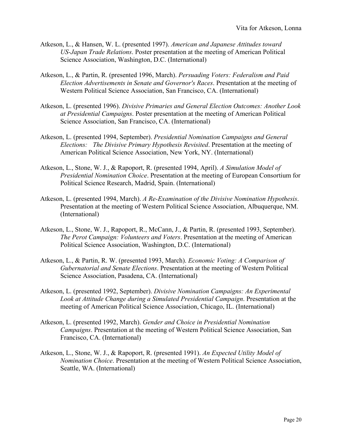- Atkeson, L., & Hansen, W. L. (presented 1997). *American and Japanese Attitudes toward US-Japan Trade Relations*. Poster presentation at the meeting of American Political Science Association, Washington, D.C. (International)
- Atkeson, L., & Partin, R. (presented 1996, March). *Persuading Voters: Federalism and Paid Election Advertisements in Senate and Governor's Races*. Presentation at the meeting of Western Political Science Association, San Francisco, CA. (International)
- Atkeson, L. (presented 1996). *Divisive Primaries and General Election Outcomes: Another Look at Presidential Campaigns*. Poster presentation at the meeting of American Political Science Association, San Francisco, CA. (International)
- Atkeson, L. (presented 1994, September). *Presidential Nomination Campaigns and General Elections: The Divisive Primary Hypothesis Revisited*. Presentation at the meeting of American Political Science Association, New York, NY. (International)
- Atkeson, L., Stone, W. J., & Rapoport, R. (presented 1994, April). *A Simulation Model of Presidential Nomination Choice*. Presentation at the meeting of European Consortium for Political Science Research, Madrid, Spain. (International)
- Atkeson, L. (presented 1994, March). *A Re-Examination of the Divisive Nomination Hypothesis*. Presentation at the meeting of Western Political Science Association, Albuquerque, NM. (International)
- Atkeson, L., Stone, W. J., Rapoport, R., McCann, J., & Partin, R. (presented 1993, September). *The Perot Campaign: Volunteers and Voters*. Presentation at the meeting of American Political Science Association, Washington, D.C. (International)
- Atkeson, L., & Partin, R. W. (presented 1993, March). *Economic Voting: A Comparison of Gubernatorial and Senate Elections*. Presentation at the meeting of Western Political Science Association, Pasadena, CA. (International)
- Atkeson, L. (presented 1992, September). *Divisive Nomination Campaigns: An Experimental Look at Attitude Change during a Simulated Presidential Campaign*. Presentation at the meeting of American Political Science Association, Chicago, IL. (International)
- Atkeson, L. (presented 1992, March). *Gender and Choice in Presidential Nomination Campaigns*. Presentation at the meeting of Western Political Science Association, San Francisco, CA. (International)
- Atkeson, L., Stone, W. J., & Rapoport, R. (presented 1991). *An Expected Utility Model of Nomination Choice*. Presentation at the meeting of Western Political Science Association, Seattle, WA. (International)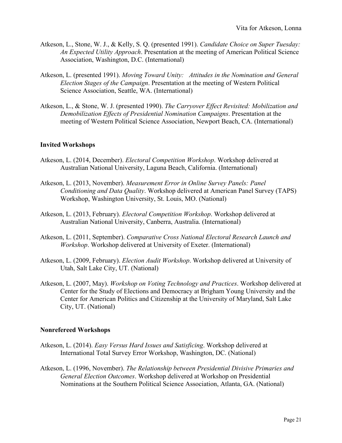- Atkeson, L., Stone, W. J., & Kelly, S. Q. (presented 1991). *Candidate Choice on Super Tuesday: An Expected Utility Approach*. Presentation at the meeting of American Political Science Association, Washington, D.C. (International)
- Atkeson, L. (presented 1991). *Moving Toward Unity: Attitudes in the Nomination and General Election Stages of the Campaign*. Presentation at the meeting of Western Political Science Association, Seattle, WA. (International)
- Atkeson, L., & Stone, W. J. (presented 1990). *The Carryover Effect Revisited: Mobilization and Demobilization Effects of Presidential Nomination Campaigns*. Presentation at the meeting of Western Political Science Association, Newport Beach, CA. (International)

# **Invited Workshops**

- Atkeson, L. (2014, December). *Electoral Competition Workshop*. Workshop delivered at Australian National University, Laguna Beach, California. (International)
- Atkeson, L. (2013, November). *Measurement Error in Online Survey Panels: Panel Conditioning and Data Quality*. Workshop delivered at American Panel Survey (TAPS) Workshop, Washington University, St. Louis, MO. (National)
- Atkeson, L. (2013, February). *Electoral Competition Workshop*. Workshop delivered at Australian National University, Canberra, Australia. (International)
- Atkeson, L. (2011, September). *Comparative Cross National Electoral Research Launch and Workshop*. Workshop delivered at University of Exeter. (International)
- Atkeson, L. (2009, February). *Election Audit Workshop*. Workshop delivered at University of Utah, Salt Lake City, UT. (National)
- Atkeson, L. (2007, May). *Workshop on Voting Technology and Practices*. Workshop delivered at Center for the Study of Elections and Democracy at Brigham Young University and the Center for American Politics and Citizenship at the University of Maryland, Salt Lake City, UT. (National)

# **Nonrefereed Workshops**

- Atkeson, L. (2014). *Easy Versus Hard Issues and Satisficing*. Workshop delivered at International Total Survey Error Workshop, Washington, DC. (National)
- Atkeson, L. (1996, November). *The Relationship between Presidential Divisive Primaries and General Election Outcomes*. Workshop delivered at Workshop on Presidential Nominations at the Southern Political Science Association, Atlanta, GA. (National)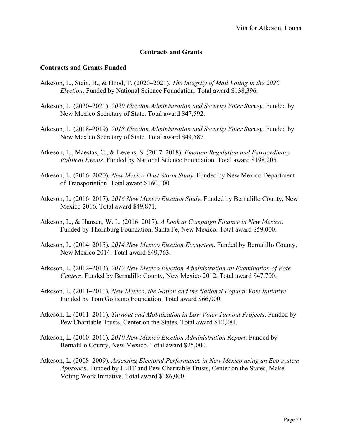# **Contracts and Grants**

## **Contracts and Grants Funded**

- Atkeson, L., Stein, B., & Hood, T. (2020–2021). *The Integrity of Mail Voting in the 2020 Election*. Funded by National Science Foundation. Total award \$138,396.
- Atkeson, L. (2020–2021). *2020 Election Administration and Security Voter Survey*. Funded by New Mexico Secretary of State. Total award \$47,592.
- Atkeson, L. (2018–2019). *2018 Election Administration and Security Voter Survey*. Funded by New Mexico Secretary of State. Total award \$49,587.
- Atkeson, L., Maestas, C., & Levens, S. (2017–2018). *Emotion Regulation and Extraordinary Political Events*. Funded by National Science Foundation. Total award \$198,205.
- Atkeson, L. (2016–2020). *New Mexico Dust Storm Study*. Funded by New Mexico Department of Transportation. Total award \$160,000.
- Atkeson, L. (2016–2017). *2016 New Mexico Election Study*. Funded by Bernalillo County, New Mexico 2016. Total award \$49,871.
- Atkeson, L., & Hansen, W. L. (2016–2017). *A Look at Campaign Finance in New Mexico*. Funded by Thornburg Foundation, Santa Fe, New Mexico. Total award \$59,000.
- Atkeson, L. (2014–2015). *2014 New Mexico Election Ecosystem*. Funded by Bernalillo County, New Mexico 2014. Total award \$49,763.
- Atkeson, L. (2012–2013). *2012 New Mexico Election Administration an Examination of Vote Centers*. Funded by Bernalillo County, New Mexico 2012. Total award \$47,700.
- Atkeson, L. (2011–2011). *New Mexico, the Nation and the National Popular Vote Initiative*. Funded by Tom Golisano Foundation. Total award \$66,000.
- Atkeson, L. (2011–2011). *Turnout and Mobilization in Low Voter Turnout Projects*. Funded by Pew Charitable Trusts, Center on the States. Total award \$12,281.
- Atkeson, L. (2010–2011). *2010 New Mexico Election Administration Report*. Funded by Bernalillo County, New Mexico. Total award \$25,000.
- Atkeson, L. (2008–2009). *Assessing Electoral Performance in New Mexico using an Eco-system Approach*. Funded by JEHT and Pew Charitable Trusts, Center on the States, Make Voting Work Initiative. Total award \$186,000.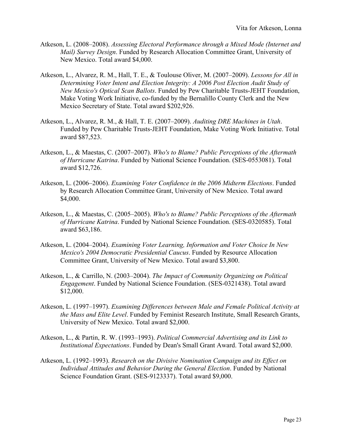- Atkeson, L. (2008–2008). *Assessing Electoral Performance through a Mixed Mode (Internet and Mail) Survey Design*. Funded by Research Allocation Committee Grant, University of New Mexico. Total award \$4,000.
- Atkeson, L., Alvarez, R. M., Hall, T. E., & Toulouse Oliver, M. (2007–2009). *Lessons for All in Determining Voter Intent and Election Integrity: A 2006 Post Election Audit Study of New Mexico's Optical Scan Ballots*. Funded by Pew Charitable Trusts-JEHT Foundation, Make Voting Work Initiative, co-funded by the Bernalillo County Clerk and the New Mexico Secretary of State. Total award \$202,926.
- Atkeson, L., Alvarez, R. M., & Hall, T. E. (2007–2009). *Auditing DRE Machines in Utah*. Funded by Pew Charitable Trusts-JEHT Foundation, Make Voting Work Initiative. Total award \$87,523.
- Atkeson, L., & Maestas, C. (2007–2007). *Who's to Blame? Public Perceptions of the Aftermath of Hurricane Katrina*. Funded by National Science Foundation. (SES-0553081). Total award \$12,726.
- Atkeson, L. (2006–2006). *Examining Voter Confidence in the 2006 Midterm Elections*. Funded by Research Allocation Committee Grant, University of New Mexico. Total award \$4,000.
- Atkeson, L., & Maestas, C. (2005–2005). *Who's to Blame? Public Perceptions of the Aftermath of Hurricane Katrina*. Funded by National Science Foundation. (SES-0320585). Total award \$63,186.
- Atkeson, L. (2004–2004). *Examining Voter Learning, Information and Voter Choice In New Mexico's 2004 Democratic Presidential Caucus*. Funded by Resource Allocation Committee Grant, University of New Mexico. Total award \$3,800.
- Atkeson, L., & Carrillo, N. (2003–2004). *The Impact of Community Organizing on Political Engagement*. Funded by National Science Foundation. (SES-0321438). Total award \$12,000.
- Atkeson, L. (1997–1997). *Examining Differences between Male and Female Political Activity at the Mass and Elite Level*. Funded by Feminist Research Institute, Small Research Grants, University of New Mexico. Total award \$2,000.
- Atkeson, L., & Partin, R. W. (1993–1993). *Political Commercial Advertising and its Link to Institutional Expectations*. Funded by Dean's Small Grant Award. Total award \$2,000.
- Atkeson, L. (1992–1993). *Research on the Divisive Nomination Campaign and its Effect on Individual Attitudes and Behavior During the General Election*. Funded by National Science Foundation Grant. (SES-9123337). Total award \$9,000.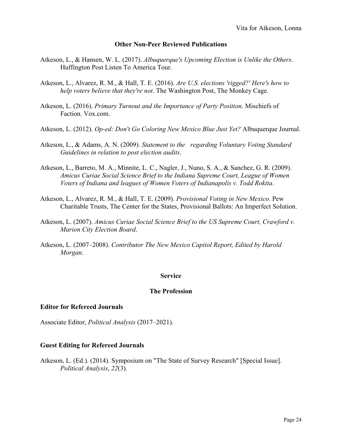## **Other Non-Peer Reviewed Publications**

- Atkeson, L., & Hansen, W. L. (2017). *Albuquerque's Upcoming Election is Unlike the Others*. Huffington Post Listen To America Tour.
- Atkeson, L., Alvarez, R. M., & Hall, T. E. (2016). *Are U.S. elections 'rigged?' Here's how to help voters believe that they're not*. The Washington Post, The Monkey Cage.
- Atkeson, L. (2016). *Primary Turnout and the Importance of Party Position*. Mischiefs of Faction. Vox.com.
- Atkeson, L. (2012). *Op-ed: Don't Go Coloring New Mexico Blue Just Yet?* Albuquerque Journal.
- Atkeson, L., & Adams, A. N. (2009). *Statement to the regarding Voluntary Voting Standard Guidelines in relation to post election audits*.
- Atkeson, L., Barreto, M. A., Minnite, L. C., Nagler, J., Nuno, S. A., & Sanchez, G. R. (2009). *Amicus Curiae Social Science Brief to the Indiana Supreme Court, League of Women Voters of Indiana and leagues of Women Voters of Indianapolis v. Todd Rokita*.
- Atkeson, L., Alvarez, R. M., & Hall, T. E. (2009). *Provisional Voting in New Mexico*. Pew Charitable Trusts, The Center for the States, Provisional Ballots: An Imperfect Solution.
- Atkeson, L. (2007). *Amicus Curiae Social Science Brief to the US Supreme Court, Crawford v. Marion City Election Board*.
- Atkeson, L. (2007–2008). *Contributor The New Mexico Capitol Report, Edited by Harold Morgan*.

## **Service**

## **The Profession**

#### **Editor for Refereed Journals**

Associate Editor, *Political Analysis* (2017–2021).

## **Guest Editing for Refereed Journals**

Atkeson, L. (Ed.). (2014). Symposium on "The State of Survey Research" [Special Issue]. *Political Analysis*, *22*(3).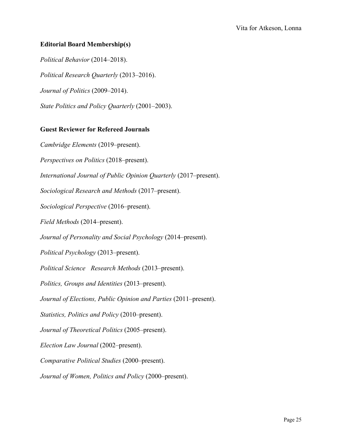# **Editorial Board Membership(s)**

*Political Behavior* (2014–2018). *Political Research Quarterly* (2013–2016). *Journal of Politics* (2009–2014). *State Politics and Policy Quarterly* (2001–2003).

# **Guest Reviewer for Refereed Journals**

*Cambridge Elements* (2019–present).

*Perspectives on Politics* (2018–present).

*International Journal of Public Opinion Quarterly* (2017–present).

*Sociological Research and Methods* (2017–present).

*Sociological Perspective* (2016–present).

*Field Methods* (2014–present).

*Journal of Personality and Social Psychology* (2014–present).

*Political Psychology* (2013–present).

*Political Science Research Methods* (2013–present).

*Politics, Groups and Identities* (2013–present).

*Journal of Elections, Public Opinion and Parties* (2011–present).

*Statistics, Politics and Policy* (2010–present).

*Journal of Theoretical Politics* (2005–present).

*Election Law Journal* (2002–present).

*Comparative Political Studies* (2000–present).

*Journal of Women, Politics and Policy* (2000–present).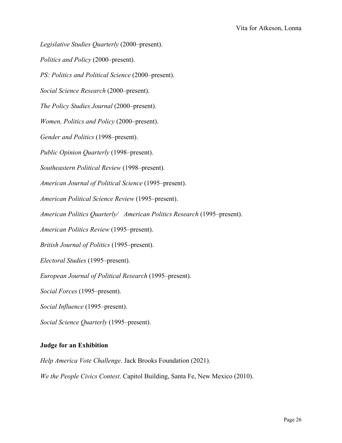*Legislative Studies Quarterly* (2000–present).

*Politics and Policy* (2000–present).

*PS: Politics and Political Science* (2000–present).

*Social Science Research* (2000–present).

*The Policy Studies Journal* (2000–present).

*Women, Politics and Policy* (2000–present).

*Gender and Politics* (1998–present).

*Public Opinion Quarterly* (1998–present).

*Southeastern Political Review* (1998–present).

*American Journal of Political Science* (1995–present).

*American Political Science Review* (1995–present).

*American Politics Quarterly/ American Politics Research* (1995–present).

*American Politics Review* (1995–present).

*British Journal of Politics* (1995–present).

*Electoral Studies* (1995–present).

*European Journal of Political Research* (1995–present).

*Social Forces* (1995–present).

*Social Influence* (1995–present).

*Social Science Quarterly* (1995–present).

## **Judge for an Exhibition**

*Help America Vote Challenge*. Jack Brooks Foundation (2021).

*We the People Civics Contest*. Capitol Building, Santa Fe, New Mexico (2010).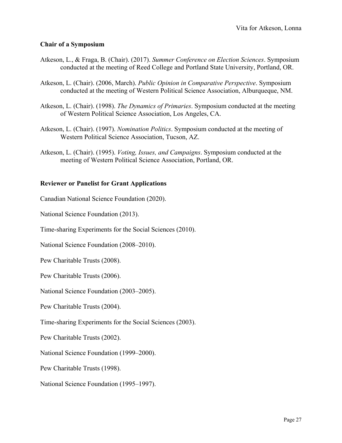## **Chair of a Symposium**

- Atkeson, L., & Fraga, B. (Chair). (2017). *Summer Conference on Election Sciences*. Symposium conducted at the meeting of Reed College and Portland State University, Portland, OR.
- Atkeson, L. (Chair). (2006, March). *Public Opinion in Comparative Perspective*. Symposium conducted at the meeting of Western Political Science Association, Alburqueque, NM.
- Atkeson, L. (Chair). (1998). *The Dynamics of Primaries*. Symposium conducted at the meeting of Western Political Science Association, Los Angeles, CA.
- Atkeson, L. (Chair). (1997). *Nomination Politics*. Symposium conducted at the meeting of Western Political Science Association, Tucson, AZ.
- Atkeson, L. (Chair). (1995). *Voting, Issues, and Campaigns*. Symposium conducted at the meeting of Western Political Science Association, Portland, OR.

## **Reviewer or Panelist for Grant Applications**

Canadian National Science Foundation (2020).

National Science Foundation (2013).

Time-sharing Experiments for the Social Sciences (2010).

National Science Foundation (2008–2010).

Pew Charitable Trusts (2008).

Pew Charitable Trusts (2006).

National Science Foundation (2003–2005).

Pew Charitable Trusts (2004).

Time-sharing Experiments for the Social Sciences (2003).

Pew Charitable Trusts (2002).

National Science Foundation (1999–2000).

Pew Charitable Trusts (1998).

National Science Foundation (1995–1997).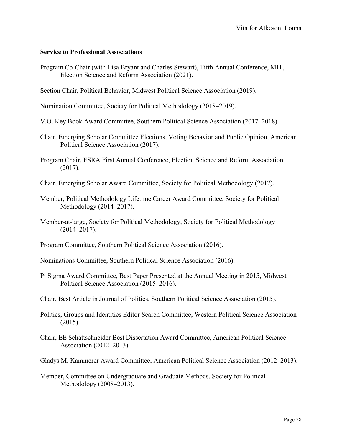## **Service to Professional Associations**

Program Co-Chair (with Lisa Bryant and Charles Stewart), Fifth Annual Conference, MIT, Election Science and Reform Association (2021).

Section Chair, Political Behavior, Midwest Political Science Association (2019).

Nomination Committee, Society for Political Methodology (2018–2019).

- V.O. Key Book Award Committee, Southern Political Science Association (2017–2018).
- Chair, Emerging Scholar Committee Elections, Voting Behavior and Public Opinion, American Political Science Association (2017).
- Program Chair, ESRA First Annual Conference, Election Science and Reform Association (2017).
- Chair, Emerging Scholar Award Committee, Society for Political Methodology (2017).
- Member, Political Methodology Lifetime Career Award Committee, Society for Political Methodology (2014–2017).
- Member-at-large, Society for Political Methodology, Society for Political Methodology (2014–2017).
- Program Committee, Southern Political Science Association (2016).
- Nominations Committee, Southern Political Science Association (2016).
- Pi Sigma Award Committee, Best Paper Presented at the Annual Meeting in 2015, Midwest Political Science Association (2015–2016).
- Chair, Best Article in Journal of Politics, Southern Political Science Association (2015).
- Politics, Groups and Identities Editor Search Committee, Western Political Science Association (2015).
- Chair, EE Schattschneider Best Dissertation Award Committee, American Political Science Association (2012–2013).
- Gladys M. Kammerer Award Committee, American Political Science Association (2012–2013).
- Member, Committee on Undergraduate and Graduate Methods, Society for Political Methodology (2008–2013).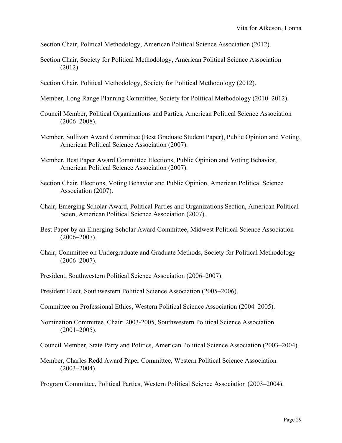Section Chair, Political Methodology, American Political Science Association (2012).

- Section Chair, Society for Political Methodology, American Political Science Association (2012).
- Section Chair, Political Methodology, Society for Political Methodology (2012).
- Member, Long Range Planning Committee, Society for Political Methodology (2010–2012).
- Council Member, Political Organizations and Parties, American Political Science Association  $(2006 - 2008)$ .
- Member, Sullivan Award Committee (Best Graduate Student Paper), Public Opinion and Voting, American Political Science Association (2007).
- Member, Best Paper Award Committee Elections, Public Opinion and Voting Behavior, American Political Science Association (2007).
- Section Chair, Elections, Voting Behavior and Public Opinion, American Political Science Association (2007).
- Chair, Emerging Scholar Award, Political Parties and Organizations Section, American Political Scien, American Political Science Association (2007).
- Best Paper by an Emerging Scholar Award Committee, Midwest Political Science Association  $(2006 - 2007)$ .
- Chair, Committee on Undergraduate and Graduate Methods, Society for Political Methodology  $(2006 - 2007)$ .
- President, Southwestern Political Science Association (2006–2007).
- President Elect, Southwestern Political Science Association (2005–2006).
- Committee on Professional Ethics, Western Political Science Association (2004–2005).
- Nomination Committee, Chair: 2003-2005, Southwestern Political Science Association  $(2001-2005)$ .

Council Member, State Party and Politics, American Political Science Association (2003–2004).

Member, Charles Redd Award Paper Committee, Western Political Science Association  $(2003 - 2004)$ .

Program Committee, Political Parties, Western Political Science Association (2003–2004).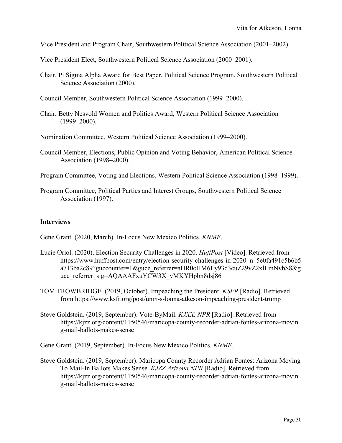Vice President and Program Chair, Southwestern Political Science Association (2001–2002).

Vice President Elect, Southwestern Political Science Association (2000–2001).

- Chair, Pi Sigma Alpha Award for Best Paper, Political Science Program, Southwestern Political Science Association (2000).
- Council Member, Southwestern Political Science Association (1999–2000).
- Chair, Betty Nesvold Women and Politics Award, Western Political Science Association (1999–2000).

Nomination Committee, Western Political Science Association (1999–2000).

Council Member, Elections, Public Opinion and Voting Behavior, American Political Science Association (1998–2000).

Program Committee, Voting and Elections, Western Political Science Association (1998–1999).

Program Committee, Political Parties and Interest Groups, Southwestern Political Science Association (1997).

## **Interviews**

Gene Grant. (2020, March). In-Focus New Mexico Politics. *KNME*.

- Lucie Oriol. (2020). Election Security Challenges in 2020. *HuffPost* [Video]. Retrieved from [https://www.huffpost.com/entry/election-security-challenges-in-2020\\_n\\_5e0fa491c5b6b5](https://www.huffpost.com/entry/election-security-challenges-in-2020_n_5e0fa491c5b6b5a713ba2c89?guccounter=1&guce_referrer=aHR0cHM6Ly93d3cuZ29vZ2xlLmNvbS8&guce_referrer_sig=AQAAAFxuYCW3X_vMKYHpbn8dsj86) [a713ba2c89?guccounter=1&guce\\_referrer=aHR0cHM6Ly93d3cuZ29vZ2xlLmNvbS8&g](https://www.huffpost.com/entry/election-security-challenges-in-2020_n_5e0fa491c5b6b5a713ba2c89?guccounter=1&guce_referrer=aHR0cHM6Ly93d3cuZ29vZ2xlLmNvbS8&guce_referrer_sig=AQAAAFxuYCW3X_vMKYHpbn8dsj86) uce referrer sig=AQAAAFxuYCW3X vMKYHpbn8dsj86
- TOM TROWBRIDGE. (2019, October). Impeaching the President. *KSFR* [Radio]. Retrieved from<https://www.ksfr.org/post/unm-s-lonna-atkeson-impeaching-president-trump>
- Steve Goldstein. (2019, September). Vote-ByMail. *KJXX, NPR* [Radio]. Retrieved from [https://kjzz.org/content/1150546/maricopa-county-recorder-adrian-fontes-arizona-movin](https://kjzz.org/content/1150546/maricopa-county-recorder-adrian-fontes-arizona-moving-mail-ballots-makes-sense) [g-mail-ballots-makes-sense](https://kjzz.org/content/1150546/maricopa-county-recorder-adrian-fontes-arizona-moving-mail-ballots-makes-sense)

Gene Grant. (2019, September). In-Focus New Mexico Politics. *KNME*.

Steve Goldstein. (2019, September). Maricopa County Recorder Adrian Fontes: Arizona Moving To Mail-In Ballots Makes Sense. *KJZZ Arizona NPR* [Radio]. Retrieved from [https://kjzz.org/content/1150546/maricopa-county-recorder-adrian-fontes-arizona-movin](https://kjzz.org/content/1150546/maricopa-county-recorder-adrian-fontes-arizona-moving-mail-ballots-makes-sense) [g-mail-ballots-makes-sense](https://kjzz.org/content/1150546/maricopa-county-recorder-adrian-fontes-arizona-moving-mail-ballots-makes-sense)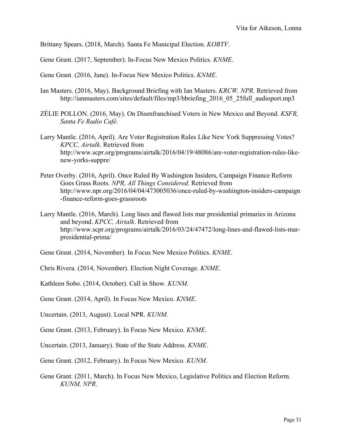Brittany Spears. (2018, March). Santa Fe Municipal Election. *KOBTV*.

Gene Grant. (2017, September). In-Focus New Mexico Politics. *KNME*.

Gene Grant. (2016, June). In-Focus New Mexico Politics. *KNME*.

- Ian Masters. (2016, May). Background Briefing with Ian Masters. *KRCW, NPR*. Retrieved from [http://ianmasters.com/sites/default/files/mp3/bbriefing\\_2016\\_05\\_25full\\_audioport.mp3](http://ianmasters.com/sites/default/files/mp3/bbriefing_2016_05_25full_audioport.mp3)
- ZÉLIE POLLON. (2016, May). On Disenfranchised Voters in New Mexico and Beyond. *KSFR, Santa Fe Radio Café*.
- Larry Mantle. (2016, April). Are Voter Registration Rules Like New York Suppressing Votes? *KPCC, Airtalk*. Retrieved from [http://www.scpr.org/programs/airtalk/2016/04/19/48086/are-voter-registration-rules-like](http://www.scpr.org/programs/airtalk/2016/04/19/48086/are-voter-registration-rules-like-new-yorks-suppre/)[new-yorks-suppre/](http://www.scpr.org/programs/airtalk/2016/04/19/48086/are-voter-registration-rules-like-new-yorks-suppre/)
- Peter Overby. (2016, April). Once Ruled By Washington Insiders, Campaign Finance Reform Goes Grass Roots. *NPR, All Things Considered*. Retrieved from [http://www.npr.org/2016/04/04/473005036/once-ruled-by-washington-insiders-campaign](http://www.npr.org/2016/04/04/473005036/once-ruled-by-washington-insiders-campaign-finance-reform-goes-grassroots) [-finance-reform-goes-grassroots](http://www.npr.org/2016/04/04/473005036/once-ruled-by-washington-insiders-campaign-finance-reform-goes-grassroots)
- Larry Mantle. (2016, March). Long lines and flawed lists mar presidential primaries in Arizona and beyond. *KPCC, Airtalk*. Retrieved from [http://www.scpr.org/programs/airtalk/2016/03/24/47472/long-lines-and-flawed-lists-mar](http://www.scpr.org/programs/airtalk/2016/03/24/47472/long-lines-and-flawed-lists-mar-presidential-prima/)[presidential-prima/](http://www.scpr.org/programs/airtalk/2016/03/24/47472/long-lines-and-flawed-lists-mar-presidential-prima/)
- Gene Grant. (2014, November). In Focus New Mexico Politics. *KNME*.
- Chris Rivera. (2014, November). Election Night Coverage. *KNME*.
- Kathleen Sobo. (2014, October). Call in Show. *KUNM*.
- Gene Grant. (2014, April). In Focus New Mexico. *KNME*.
- Uncertain. (2013, August). Local NPR. *KUNM*.
- Gene Grant. (2013, February). In Focus New Mexico. *KNME*.
- Uncertain. (2013, January). State of the State Address. *KNME*.
- Gene Grant. (2012, February). In Focus New Mexico. *KUNM*.
- Gene Grant. (2011, March). In Focus New Mexico, Legislative Politics and Election Reform. *KUNM, NPR*.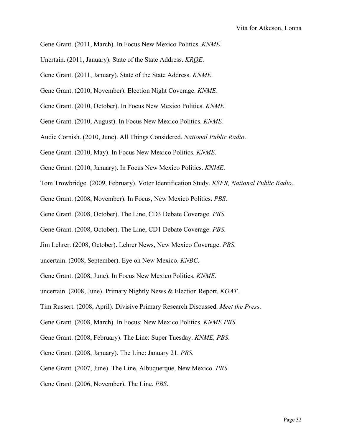- Gene Grant. (2011, March). In Focus New Mexico Politics. *KNME*.
- Uncrtain. (2011, January). State of the State Address. *KRQE*.
- Gene Grant. (2011, January). State of the State Address. *KNME*.
- Gene Grant. (2010, November). Election Night Coverage. *KNME*.
- Gene Grant. (2010, October). In Focus New Mexico Politics. *KNME*.
- Gene Grant. (2010, August). In Focus New Mexico Politics. *KNME*.
- Audie Cornish. (2010, June). All Things Considered. *National Public Radio*.
- Gene Grant. (2010, May). In Focus New Mexico Politics. *KNME*.
- Gene Grant. (2010, January). In Focus New Mexico Politics. *KNME*.
- Tom Trowbridge. (2009, February). Voter Identification Study. *KSFR, National Public Radio*.
- Gene Grant. (2008, November). In Focus, New Mexico Politics. *PBS*.
- Gene Grant. (2008, October). The Line, CD3 Debate Coverage. *PBS*.
- Gene Grant. (2008, October). The Line, CD1 Debate Coverage. *PBS*.
- Jim Lehrer. (2008, October). Lehrer News, New Mexico Coverage. *PBS*.
- uncertain. (2008, September). Eye on New Mexico. *KNBC*.
- Gene Grant. (2008, June). In Focus New Mexico Politics. *KNME*.
- uncertain. (2008, June). Primary Nightly News & Election Report. *KOAT*.
- Tim Russert. (2008, April). Divisive Primary Research Discussed. *Meet the Press*.
- Gene Grant. (2008, March). In Focus: New Mexico Politics. *KNME PBS*.
- Gene Grant. (2008, February). The Line: Super Tuesday. *KNME, PBS*.
- Gene Grant. (2008, January). The Line: January 21. *PBS*.
- Gene Grant. (2007, June). The Line, Albuquerque, New Mexico. *PBS*.
- Gene Grant. (2006, November). The Line. *PBS*.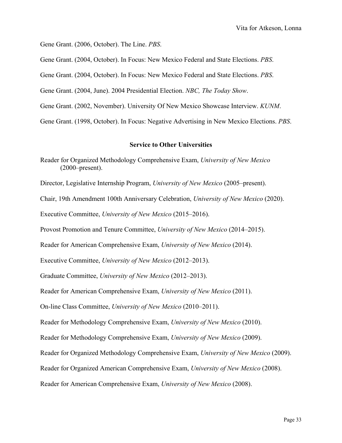Gene Grant. (2006, October). The Line. *PBS*.

Gene Grant. (2004, October). In Focus: New Mexico Federal and State Elections. *PBS*.

Gene Grant. (2004, October). In Focus: New Mexico Federal and State Elections. *PBS*.

Gene Grant. (2004, June). 2004 Presidential Election. *NBC, The Today Show*.

Gene Grant. (2002, November). University Of New Mexico Showcase Interview. *KUNM*.

Gene Grant. (1998, October). In Focus: Negative Advertising in New Mexico Elections. *PBS*.

#### **Service to Other Universities**

Reader for Organized Methodology Comprehensive Exam, *University of New Mexico* (2000–present).

Director, Legislative Internship Program, *University of New Mexico* (2005–present).

Chair, 19th Amendment 100th Anniversary Celebration, *University of New Mexico* (2020).

Executive Committee, *University of New Mexico* (2015–2016).

Provost Promotion and Tenure Committee, *University of New Mexico* (2014–2015).

Reader for American Comprehensive Exam, *University of New Mexico* (2014).

Executive Committee, *University of New Mexico* (2012–2013).

Graduate Committee, *University of New Mexico* (2012–2013).

Reader for American Comprehensive Exam, *University of New Mexico* (2011).

On-line Class Committee, *University of New Mexico* (2010–2011).

Reader for Methodology Comprehensive Exam, *University of New Mexico* (2010).

Reader for Methodology Comprehensive Exam, *University of New Mexico* (2009).

Reader for Organized Methodology Comprehensive Exam, *University of New Mexico* (2009).

Reader for Organized American Comprehensive Exam, *University of New Mexico* (2008).

Reader for American Comprehensive Exam, *University of New Mexico* (2008).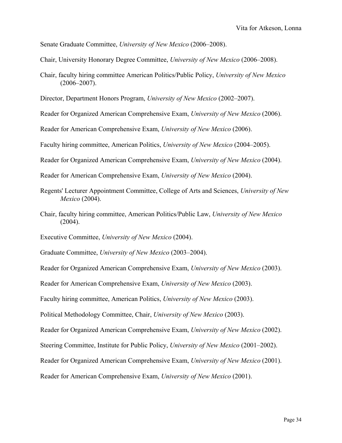Senate Graduate Committee, *University of New Mexico* (2006–2008).

- Chair, University Honorary Degree Committee, *University of New Mexico* (2006–2008).
- Chair, faculty hiring committee American Politics/Public Policy, *University of New Mexico*  $(2006 - 2007)$ .

Director, Department Honors Program, *University of New Mexico* (2002–2007).

Reader for Organized American Comprehensive Exam, *University of New Mexico* (2006).

Reader for American Comprehensive Exam, *University of New Mexico* (2006).

Faculty hiring committee, American Politics, *University of New Mexico* (2004–2005).

Reader for Organized American Comprehensive Exam, *University of New Mexico* (2004).

Reader for American Comprehensive Exam, *University of New Mexico* (2004).

- Regents' Lecturer Appointment Committee, College of Arts and Sciences, *University of New Mexico* (2004).
- Chair, faculty hiring committee, American Politics/Public Law, *University of New Mexico* (2004).

Executive Committee, *University of New Mexico* (2004).

Graduate Committee, *University of New Mexico* (2003–2004).

Reader for Organized American Comprehensive Exam, *University of New Mexico* (2003).

Reader for American Comprehensive Exam, *University of New Mexico* (2003).

Faculty hiring committee, American Politics, *University of New Mexico* (2003).

Political Methodology Committee, Chair, *University of New Mexico* (2003).

Reader for Organized American Comprehensive Exam, *University of New Mexico* (2002).

Steering Committee, Institute for Public Policy, *University of New Mexico* (2001–2002).

Reader for Organized American Comprehensive Exam, *University of New Mexico* (2001).

Reader for American Comprehensive Exam, *University of New Mexico* (2001).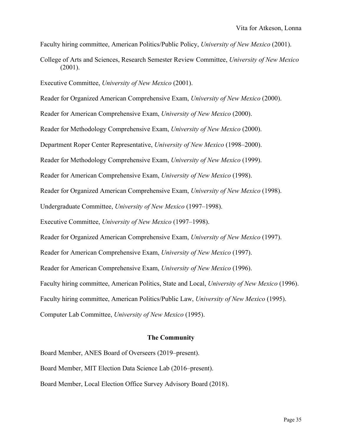Faculty hiring committee, American Politics/Public Policy, *University of New Mexico* (2001).

College of Arts and Sciences, Research Semester Review Committee, *University of New Mexico* (2001).

Executive Committee, *University of New Mexico* (2001).

Reader for Organized American Comprehensive Exam, *University of New Mexico* (2000).

Reader for American Comprehensive Exam, *University of New Mexico* (2000).

Reader for Methodology Comprehensive Exam, *University of New Mexico* (2000).

Department Roper Center Representative, *University of New Mexico* (1998–2000).

Reader for Methodology Comprehensive Exam, *University of New Mexico* (1999).

Reader for American Comprehensive Exam, *University of New Mexico* (1998).

Reader for Organized American Comprehensive Exam, *University of New Mexico* (1998).

Undergraduate Committee, *University of New Mexico* (1997–1998).

Executive Committee, *University of New Mexico* (1997–1998).

Reader for Organized American Comprehensive Exam, *University of New Mexico* (1997).

Reader for American Comprehensive Exam, *University of New Mexico* (1997).

Reader for American Comprehensive Exam, *University of New Mexico* (1996).

Faculty hiring committee, American Politics, State and Local, *University of New Mexico* (1996).

Faculty hiring committee, American Politics/Public Law, *University of New Mexico* (1995).

Computer Lab Committee, *University of New Mexico* (1995).

#### **The Community**

Board Member, ANES Board of Overseers (2019–present).

Board Member, MIT Election Data Science Lab (2016–present).

Board Member, Local Election Office Survey Advisory Board (2018).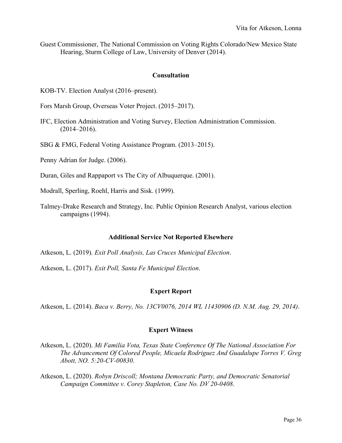Guest Commissioner, The National Commission on Voting Rights Colorado/New Mexico State Hearing, Sturm College of Law, University of Denver (2014).

#### **Consultation**

KOB-TV. Election Analyst (2016–present).

Fors Marsh Group, Overseas Voter Project. (2015–2017).

IFC, Election Administration and Voting Survey, Election Administration Commission. (2014–2016).

SBG & FMG, Federal Voting Assistance Program. (2013–2015).

Penny Adrian for Judge. (2006).

Duran, Giles and Rappaport vs The City of Albuquerque. (2001).

Modrall, Sperling, Roehl, Harris and Sisk. (1999).

Talmey-Drake Research and Strategy, Inc. Public Opinion Research Analyst, various election campaigns (1994).

## **Additional Service Not Reported Elsewhere**

Atkeson, L. (2019). *Exit Poll Analysis, Las Cruces Municipal Election*.

Atkeson, L. (2017). *Exit Poll, Santa Fe Municipal Election*.

## **Expert Report**

Atkeson, L. (2014). *Baca v. Berry, No. 13CV0076, 2014 WL 11430906 (D. N.M. Aug. 29, 2014)*.

## **Expert Witness**

Atkeson, L. (2020). *Mi Familia Vota, Texas State Conference Of The National Association For The Advancement Of Colored People, Micaela Rodriguez And Guadalupe Torres V. Greg Abott, NO. 5:20-CV-00830*.

Atkeson, L. (2020). *Robyn Driscoll; Montana Democratic Party, and Democratic Senatorial Campaign Committee v. Corey Stapleton, Case No. DV 20-0408*.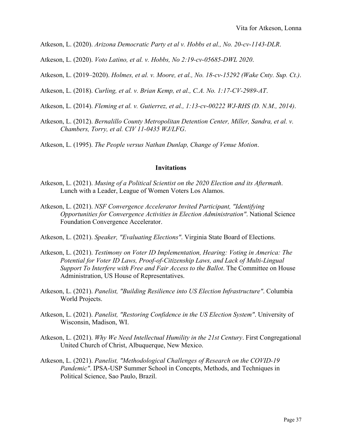Atkeson, L. (2020). *Arizona Democratic Party et al v. Hobbs et al., No. 20-cv-1143-DLR*.

Atkeson, L. (2020). *Voto Latino, et al. v. Hobbs, No 2:19-cv-05685-DWL 2020*.

Atkeson, L. (2019–2020). *Holmes, et al. v. Moore, et al., No. 18-cv-15292 (Wake Cnty. Sup. Ct.)*.

Atkeson, L. (2018). *Curling, et al. v. Brian Kemp, et al., C.A. No. 1:17-CV-2989-AT*.

- Atkeson, L. (2014). *Fleming et al. v. Gutierrez, et al., 1:13-cv-00222 WJ-RHS (D. N.M., 2014)*.
- Atkeson, L. (2012). *Bernalillo County Metropolitan Detention Center, Miller, Sandra, et al. v. Chambers, Torry, et al. CIV 11-0435 WJ/LFG*.

Atkeson, L. (1995). *The People versus Nathan Dunlap, Change of Venue Motion*.

## **Invitations**

- Atkeson, L. (2021). *Musing of a Political Scientist on the 2020 Election and its Aftermath*. Lunch with a Leader, League of Women Voters Los Alamos.
- Atkeson, L. (2021). *NSF Convergence Accelerator Invited Participant, "Identifying Opportunities for Convergence Activities in Election Administration"*. National Science Foundation Convergence Accelerator.
- Atkeson, L. (2021). *Speaker, "Evaluating Elections"*. Virginia State Board of Elections.
- Atkeson, L. (2021). *Testimony on Voter ID Implementation, Hearing: Voting in America: The Potential for Voter ID Laws, Proof-of-Citizenship Laws, and Lack of Multi-Lingual Support To Interfere with Free and Fair Access to the Ballot*. The Committee on House Administration, US House of Representatives.
- Atkeson, L. (2021). *Panelist, "Building Resilience into US Election Infrastructure"*. Columbia World Projects.
- Atkeson, L. (2021). *Panelist, "Restoring Confidence in the US Election System"*. University of Wisconsin, Madison, WI.
- Atkeson, L. (2021). *Why We Need Intellectual Humility in the 21st Century*. First Congregational United Church of Christ, Albuquerque, New Mexico.
- Atkeson, L. (2021). *Panelist, "Methodological Challenges of Research on the COVID-19 Pandemic"*. IPSA-USP Summer School in Concepts, Methods, and Techniques in Political Science, Sao Paulo, Brazil.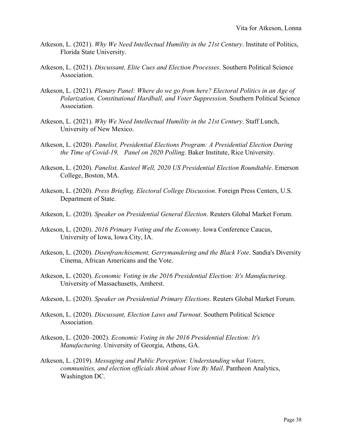- Atkeson, L. (2021). *Why We Need Intellectual Humility in the 21st Century*. Institute of Politics, Florida State University.
- Atkeson, L. (2021). *Discussant, Elite Cues and Election Processes*. Southern Political Science Association.
- Atkeson, L. (2021). *Plenary Panel: Where do we go from here? Electoral Politics in an Age of Polarization, Constitutional Hardball, and Voter Suppression*. Southern Political Science Association.
- Atkeson, L. (2021). *Why We Need Intellectual Humility in the 21st Century*. Staff Lunch, University of New Mexico.
- Atkeson, L. (2020). *Panelist, Presidential Elections Program: A Presidential Election During the Time of Covid-19, Panel on 2020 Polling*. Baker Institute, Rice University.
- Atkeson, L. (2020). *Panelist, Kasteel Well, 2020 US Presidential Election Roundtable*. Emerson College, Boston, MA.
- Atkeson, L. (2020). *Press Briefing, Electoral College Discussion*. Foreign Press Centers, U.S. Department of State.
- Atkeson, L. (2020). *Speaker on Presidential General Election*. Reuters Global Market Forum.
- Atkeson, L. (2020). *2016 Primary Voting and the Economy*. Iowa Conference Caucus, University of Iowa, Iowa City, IA.
- Atkeson, L. (2020). *Disenfranchisement, Gerrymandering and the Black Vote*. Sandia's Diversity Cinema, African Americans and the Vote.
- Atkeson, L. (2020). *Economic Voting in the 2016 Presidential Election: It's Manufacturing*. University of Massachusetts, Amherst.
- Atkeson, L. (2020). *Speaker on Presidential Primary Elections*. Reuters Global Market Forum.
- Atkeson, L. (2020). *Discussant, Election Laws and Turnout*. Southern Political Science Association.
- Atkeson, L. (2020–2002). *Economic Voting in the 2016 Presidential Election: It's Manufacturing*. University of Georgia, Athens, GA.
- Atkeson, L. (2019). *Messaging and Public Perception: Understanding what Voters, communities, and election officials think about Vote By Mail*. Pantheon Analytics, Washington DC.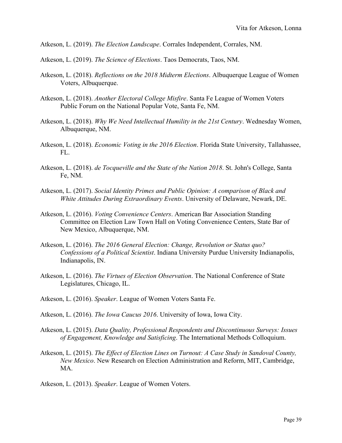- Atkeson, L. (2019). *The Election Landscape*. Corrales Independent, Corrales, NM.
- Atkeson, L. (2019). *The Science of Elections*. Taos Democrats, Taos, NM.
- Atkeson, L. (2018). *Reflections on the 2018 Midterm Elections*. Albuquerque League of Women Voters, Albuquerque.
- Atkeson, L. (2018). *Another Electoral College Misfire*. Santa Fe League of Women Voters Public Forum on the National Popular Vote, Santa Fe, NM.
- Atkeson, L. (2018). *Why We Need Intellectual Humility in the 21st Century*. Wednesday Women, Albuquerque, NM.
- Atkeson, L. (2018). *Economic Voting in the 2016 Election*. Florida State University, Tallahassee,  $FL_{\odot}$
- Atkeson, L. (2018). *de Tocqueville and the State of the Nation 2018*. St. John's College, Santa Fe, NM.
- Atkeson, L. (2017). *Social Identity Primes and Public Opinion: A comparison of Black and White Attitudes During Extraordinary Events*. University of Delaware, Newark, DE.
- Atkeson, L. (2016). *Voting Convenience Centers*. American Bar Association Standing Committee on Election Law Town Hall on Voting Convenience Centers, State Bar of New Mexico, Albuquerque, NM.
- Atkeson, L. (2016). *The 2016 General Election: Change, Revolution or Status quo? Confessions of a Political Scientist*. Indiana University Purdue University Indianapolis, Indianapolis, IN.
- Atkeson, L. (2016). *The Virtues of Election Observation*. The National Conference of State Legislatures, Chicago, IL.
- Atkeson, L. (2016). *Speaker*. League of Women Voters Santa Fe.
- Atkeson, L. (2016). *The Iowa Caucus 2016*. University of Iowa, Iowa City.
- Atkeson, L. (2015). *Data Quality, Professional Respondents and Discontinuous Surveys: Issues of Engagement, Knowledge and Satisficing*. The International Methods Colloquium.
- Atkeson, L. (2015). *The Effect of Election Lines on Turnout: A Case Study in Sandoval County, New Mexico*. New Research on Election Administration and Reform, MIT, Cambridge, MA.
- Atkeson, L. (2013). *Speaker*. League of Women Voters.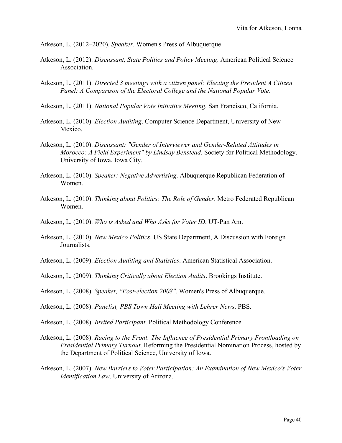Atkeson, L. (2012–2020). *Speaker*. Women's Press of Albuquerque.

- Atkeson, L. (2012). *Discussant, State Politics and Policy Meeting*. American Political Science Association.
- Atkeson, L. (2011). *Directed 3 meetings with a citizen panel: Electing the President A Citizen Panel: A Comparison of the Electoral College and the National Popular Vote*.
- Atkeson, L. (2011). *National Popular Vote Initiative Meeting*. San Francisco, California.
- Atkeson, L. (2010). *Election Auditing*. Computer Science Department, University of New Mexico.
- Atkeson, L. (2010). *Discussant: "Gender of Interviewer and Gender-Related Attitudes in Morocco: A Field Experiment" by Lindsay Benstead*. Society for Political Methodology, University of Iowa, Iowa City.
- Atkeson, L. (2010). *Speaker: Negative Advertising*. Albuquerque Republican Federation of Women.
- Atkeson, L. (2010). *Thinking about Politics: The Role of Gender*. Metro Federated Republican Women.
- Atkeson, L. (2010). *Who is Asked and Who Asks for Voter ID*. UT-Pan Am.
- Atkeson, L. (2010). *New Mexico Politics*. US State Department, A Discussion with Foreign Journalists.
- Atkeson, L. (2009). *Election Auditing and Statistics*. American Statistical Association.
- Atkeson, L. (2009). *Thinking Critically about Election Audits*. Brookings Institute.
- Atkeson, L. (2008). *Speaker, "Post-election 2008"*. Women's Press of Albuquerque.
- Atkeson, L. (2008). *Panelist, PBS Town Hall Meeting with Lehrer News*. PBS.
- Atkeson, L. (2008). *Invited Participant*. Political Methodology Conference.
- Atkeson, L. (2008). *Racing to the Front: The Influence of Presidential Primary Frontloading on Presidential Primary Turnout*. Reforming the Presidential Nomination Process, hosted by the Department of Political Science, University of Iowa.
- Atkeson, L. (2007). *New Barriers to Voter Participation: An Examination of New Mexico's Voter Identification Law*. University of Arizona.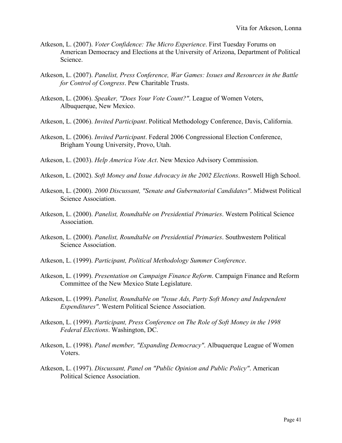- Atkeson, L. (2007). *Voter Confidence: The Micro Experience*. First Tuesday Forums on American Democracy and Elections at the University of Arizona, Department of Political Science.
- Atkeson, L. (2007). *Panelist, Press Conference, War Games: Issues and Resources in the Battle for Control of Congress*. Pew Charitable Trusts.
- Atkeson, L. (2006). *Speaker, "Does Your Vote Count?"*. League of Women Voters, Albuquerque, New Mexico.
- Atkeson, L. (2006). *Invited Participant*. Political Methodology Conference, Davis, California.
- Atkeson, L. (2006). *Invited Participant*. Federal 2006 Congressional Election Conference, Brigham Young University, Provo, Utah.
- Atkeson, L. (2003). *Help America Vote Act*. New Mexico Advisory Commission.
- Atkeson, L. (2002). *Soft Money and Issue Advocacy in the 2002 Elections*. Roswell High School.
- Atkeson, L. (2000). *2000 Discussant, "Senate and Gubernatorial Candidates"*. Midwest Political Science Association.
- Atkeson, L. (2000). *Panelist, Roundtable on Presidential Primaries*. Western Political Science Association.
- Atkeson, L. (2000). *Panelist, Roundtable on Presidential Primaries*. Southwestern Political Science Association.
- Atkeson, L. (1999). *Participant, Political Methodology Summer Conference*.
- Atkeson, L. (1999). *Presentation on Campaign Finance Reform*. Campaign Finance and Reform Committee of the New Mexico State Legislature.
- Atkeson, L. (1999). *Panelist, Roundtable on "Issue Ads, Party Soft Money and Independent Expenditures"*. Western Political Science Association.
- Atkeson, L. (1999). *Participant, Press Conference on The Role of Soft Money in the 1998 Federal Elections*. Washington, DC.
- Atkeson, L. (1998). *Panel member, "Expanding Democracy"*. Albuquerque League of Women Voters.
- Atkeson, L. (1997). *Discussant, Panel on "Public Opinion and Public Policy"*. American Political Science Association.